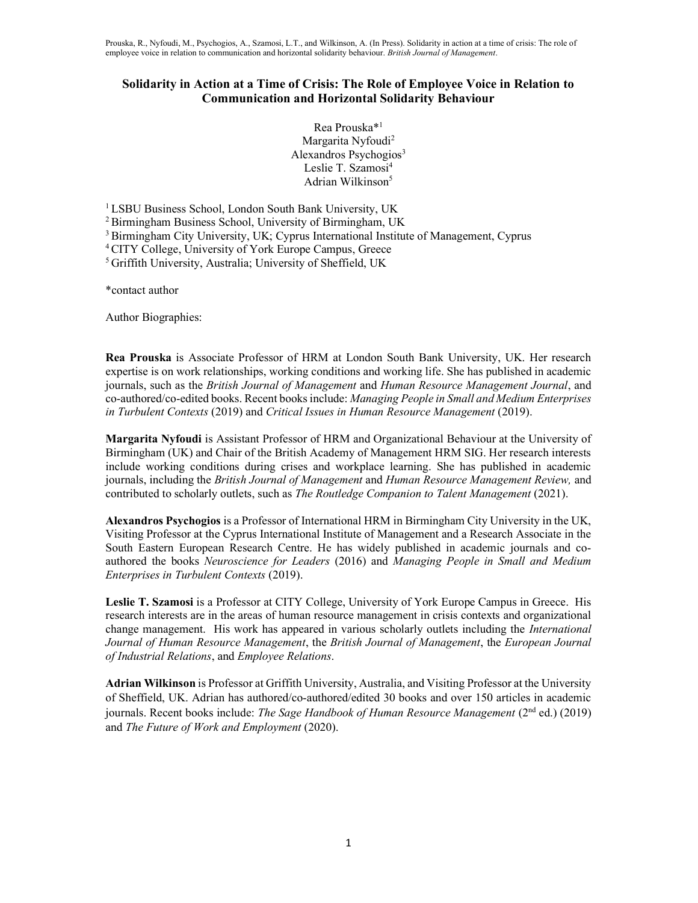# Solidarity in Action at a Time of Crisis: The Role of Employee Voice in Relation to Communication and Horizontal Solidarity Behaviour

Rea Prouska\*<sup>1</sup> Margarita Nyfoudi<sup>2</sup> Alexandros Psychogios<sup>3</sup> Leslie T. Szamosi<sup>4</sup> Adrian Wilkinson<sup>5</sup>

<sup>1</sup> LSBU Business School, London South Bank University, UK

<sup>2</sup> Birmingham Business School, University of Birmingham, UK

<sup>3</sup> Birmingham City University, UK; Cyprus International Institute of Management, Cyprus

<sup>4</sup> CITY College, University of York Europe Campus, Greece

<sup>5</sup> Griffith University, Australia; University of Sheffield, UK

\*contact author

Author Biographies:

Rea Prouska is Associate Professor of HRM at London South Bank University, UK. Her research expertise is on work relationships, working conditions and working life. She has published in academic journals, such as the British Journal of Management and Human Resource Management Journal, and co-authored/co-edited books. Recent books include: Managing People in Small and Medium Enterprises in Turbulent Contexts (2019) and Critical Issues in Human Resource Management (2019).

Margarita Nyfoudi is Assistant Professor of HRM and Organizational Behaviour at the University of Birmingham (UK) and Chair of the British Academy of Management HRM SIG. Her research interests include working conditions during crises and workplace learning. She has published in academic journals, including the British Journal of Management and Human Resource Management Review, and contributed to scholarly outlets, such as The Routledge Companion to Talent Management (2021).

Alexandros Psychogios is a Professor of International HRM in Birmingham City University in the UK, Visiting Professor at the Cyprus International Institute of Management and a Research Associate in the South Eastern European Research Centre. He has widely published in academic journals and coauthored the books Neuroscience for Leaders (2016) and Managing People in Small and Medium Enterprises in Turbulent Contexts (2019).

Leslie T. Szamosi is a Professor at CITY College, University of York Europe Campus in Greece. His research interests are in the areas of human resource management in crisis contexts and organizational change management. His work has appeared in various scholarly outlets including the International Journal of Human Resource Management, the British Journal of Management, the European Journal of Industrial Relations, and Employee Relations.

Adrian Wilkinson is Professor at Griffith University, Australia, and Visiting Professor at the University of Sheffield, UK. Adrian has authored/co-authored/edited 30 books and over 150 articles in academic journals. Recent books include: *The Sage Handbook of Human Resource Management* ( $2<sup>nd</sup>$  ed.) (2019) and The Future of Work and Employment (2020).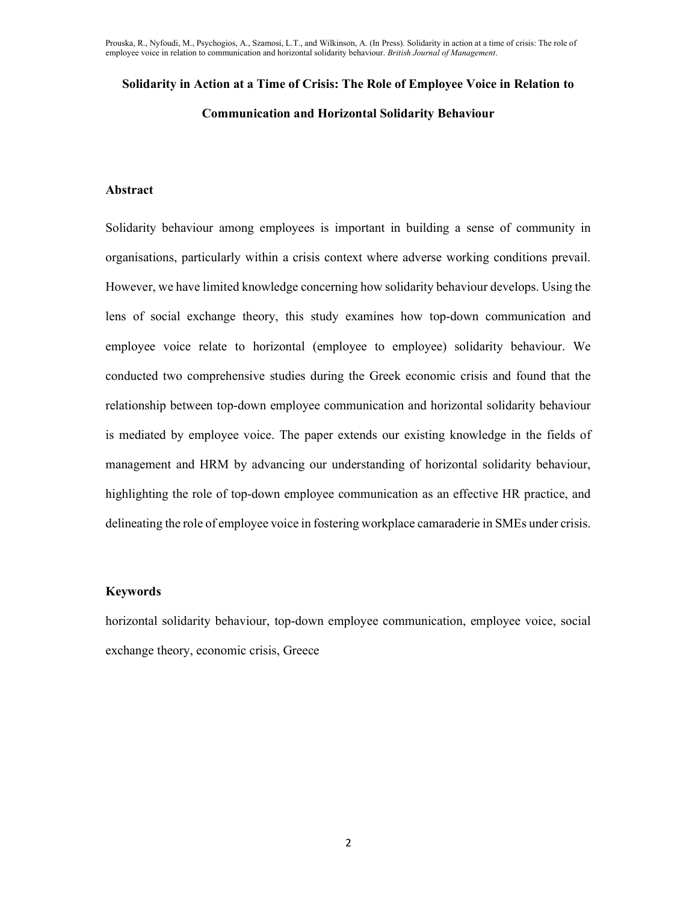# Solidarity in Action at a Time of Crisis: The Role of Employee Voice in Relation to Communication and Horizontal Solidarity Behaviour

#### Abstract

Solidarity behaviour among employees is important in building a sense of community in organisations, particularly within a crisis context where adverse working conditions prevail. However, we have limited knowledge concerning how solidarity behaviour develops. Using the lens of social exchange theory, this study examines how top-down communication and employee voice relate to horizontal (employee to employee) solidarity behaviour. We conducted two comprehensive studies during the Greek economic crisis and found that the relationship between top-down employee communication and horizontal solidarity behaviour is mediated by employee voice. The paper extends our existing knowledge in the fields of management and HRM by advancing our understanding of horizontal solidarity behaviour, highlighting the role of top-down employee communication as an effective HR practice, and delineating the role of employee voice in fostering workplace camaraderie in SMEs under crisis.

#### Keywords

horizontal solidarity behaviour, top-down employee communication, employee voice, social exchange theory, economic crisis, Greece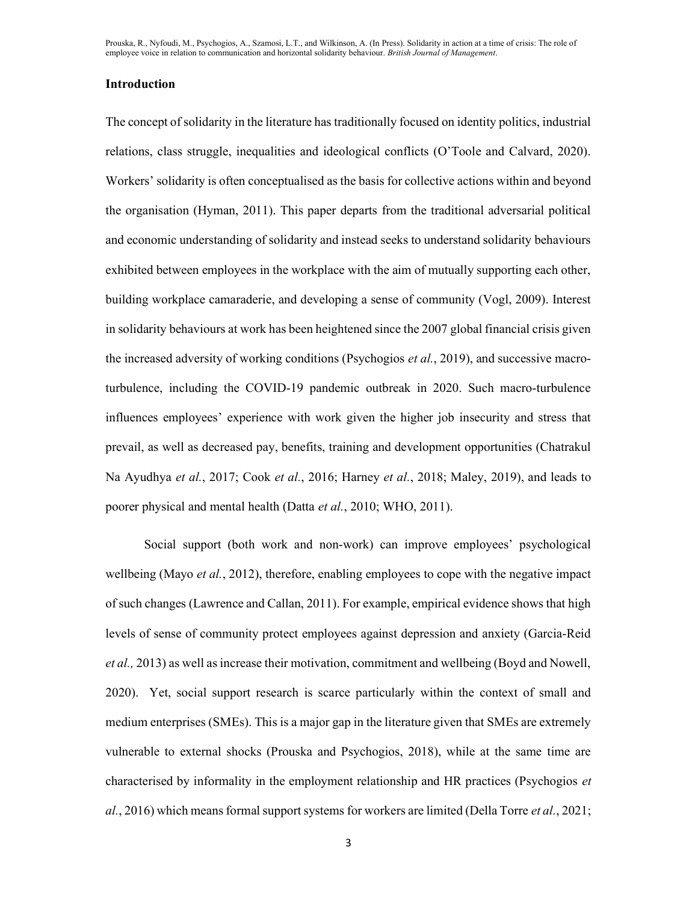# Introduction

The concept of solidarity in the literature has traditionally focused on identity politics, industrial relations, class struggle, inequalities and ideological conflicts (O'Toole and Calvard, 2020). Workers' solidarity is often conceptualised as the basis for collective actions within and beyond the organisation (Hyman, 2011). This paper departs from the traditional adversarial political and economic understanding of solidarity and instead seeks to understand solidarity behaviours exhibited between employees in the workplace with the aim of mutually supporting each other, building workplace camaraderie, and developing a sense of community (Vogl, 2009). Interest in solidarity behaviours at work has been heightened since the 2007 global financial crisis given the increased adversity of working conditions (Psychogios *et al.*, 2019), and successive macroturbulence, including the COVID-19 pandemic outbreak in 2020. Such macro-turbulence influences employees' experience with work given the higher job insecurity and stress that prevail, as well as decreased pay, benefits, training and development opportunities (Chatrakul Na Ayudhya et al., 2017; Cook et al., 2016; Harney et al., 2018; Maley, 2019), and leads to poorer physical and mental health (Datta et al., 2010; WHO, 2011).

Social support (both work and non-work) can improve employees' psychological wellbeing (Mayo *et al.*, 2012), therefore, enabling employees to cope with the negative impact of such changes (Lawrence and Callan, 2011). For example, empirical evidence shows that high levels of sense of community protect employees against depression and anxiety (Garcia-Reid et al., 2013) as well as increase their motivation, commitment and wellbeing (Boyd and Nowell, 2020). Yet, social support research is scarce particularly within the context of small and medium enterprises (SMEs). This is a major gap in the literature given that SMEs are extremely vulnerable to external shocks (Prouska and Psychogios, 2018), while at the same time are characterised by informality in the employment relationship and HR practices (Psychogios et  $al.$ , 2016) which means formal support systems for workers are limited (Della Torre *et al.*, 2021;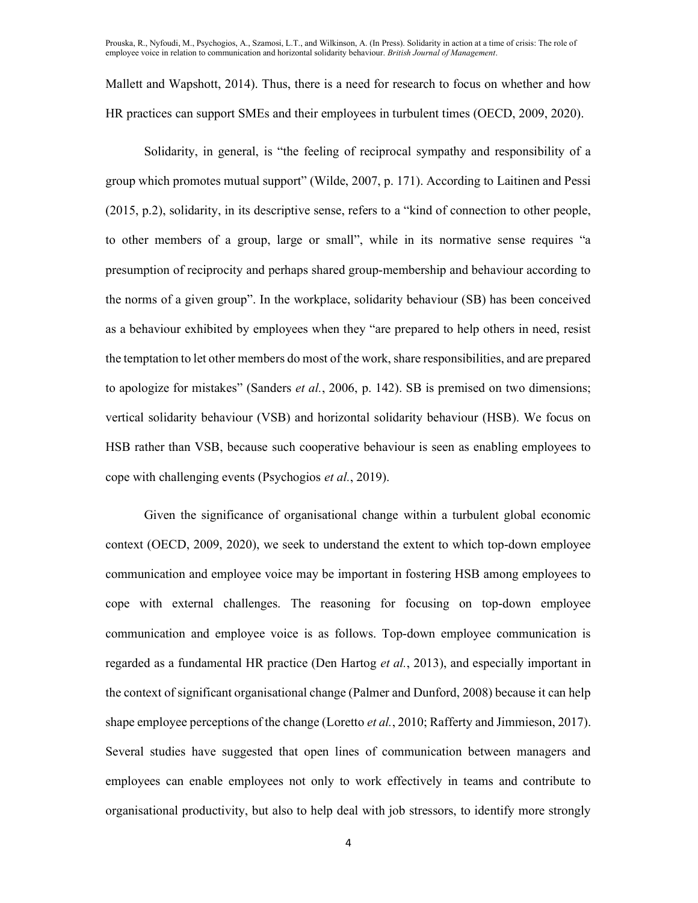Mallett and Wapshott, 2014). Thus, there is a need for research to focus on whether and how HR practices can support SMEs and their employees in turbulent times (OECD, 2009, 2020).

Solidarity, in general, is "the feeling of reciprocal sympathy and responsibility of a group which promotes mutual support" (Wilde, 2007, p. 171). According to Laitinen and Pessi (2015, p.2), solidarity, in its descriptive sense, refers to a "kind of connection to other people, to other members of a group, large or small", while in its normative sense requires "a presumption of reciprocity and perhaps shared group-membership and behaviour according to the norms of a given group". In the workplace, solidarity behaviour (SB) has been conceived as a behaviour exhibited by employees when they "are prepared to help others in need, resist the temptation to let other members do most of the work, share responsibilities, and are prepared to apologize for mistakes" (Sanders et al., 2006, p. 142). SB is premised on two dimensions; vertical solidarity behaviour (VSB) and horizontal solidarity behaviour (HSB). We focus on HSB rather than VSB, because such cooperative behaviour is seen as enabling employees to cope with challenging events (Psychogios et al., 2019).

Given the significance of organisational change within a turbulent global economic context (OECD, 2009, 2020), we seek to understand the extent to which top-down employee communication and employee voice may be important in fostering HSB among employees to cope with external challenges. The reasoning for focusing on top-down employee communication and employee voice is as follows. Top-down employee communication is regarded as a fundamental HR practice (Den Hartog *et al.*, 2013), and especially important in the context of significant organisational change (Palmer and Dunford, 2008) because it can help shape employee perceptions of the change (Loretto *et al.*, 2010; Rafferty and Jimmieson, 2017). Several studies have suggested that open lines of communication between managers and employees can enable employees not only to work effectively in teams and contribute to organisational productivity, but also to help deal with job stressors, to identify more strongly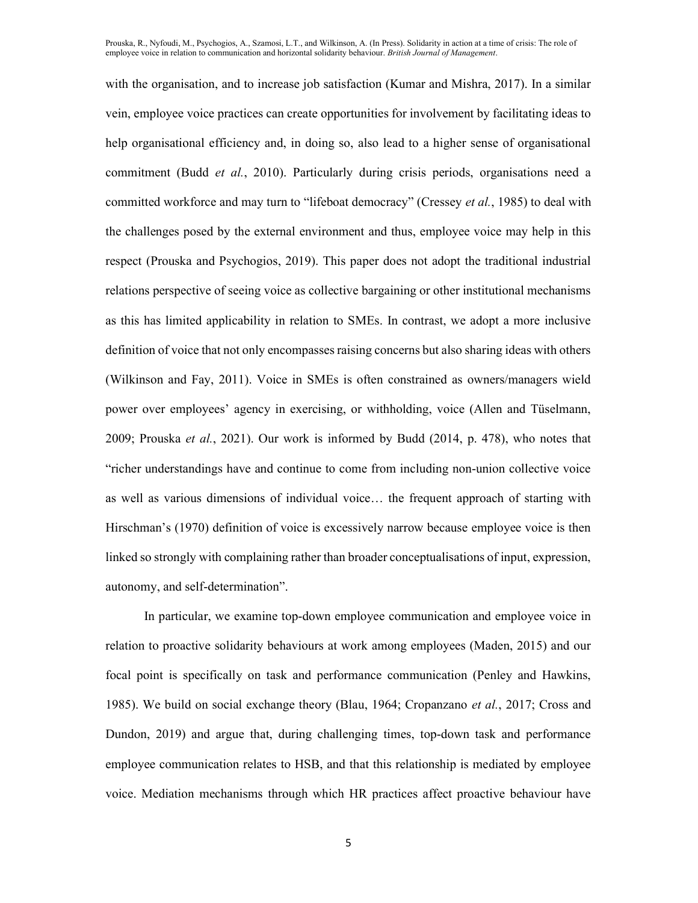with the organisation, and to increase job satisfaction (Kumar and Mishra, 2017). In a similar vein, employee voice practices can create opportunities for involvement by facilitating ideas to help organisational efficiency and, in doing so, also lead to a higher sense of organisational commitment (Budd et al., 2010). Particularly during crisis periods, organisations need a committed workforce and may turn to "lifeboat democracy" (Cressey et al., 1985) to deal with the challenges posed by the external environment and thus, employee voice may help in this respect (Prouska and Psychogios, 2019). This paper does not adopt the traditional industrial relations perspective of seeing voice as collective bargaining or other institutional mechanisms as this has limited applicability in relation to SMEs. In contrast, we adopt a more inclusive definition of voice that not only encompasses raising concerns but also sharing ideas with others (Wilkinson and Fay, 2011). Voice in SMEs is often constrained as owners/managers wield power over employees' agency in exercising, or withholding, voice (Allen and Tüselmann, 2009; Prouska et al., 2021). Our work is informed by Budd (2014, p. 478), who notes that "richer understandings have and continue to come from including non-union collective voice as well as various dimensions of individual voice… the frequent approach of starting with Hirschman's (1970) definition of voice is excessively narrow because employee voice is then linked so strongly with complaining rather than broader conceptualisations of input, expression, autonomy, and self-determination".

In particular, we examine top-down employee communication and employee voice in relation to proactive solidarity behaviours at work among employees (Maden, 2015) and our focal point is specifically on task and performance communication (Penley and Hawkins, 1985). We build on social exchange theory (Blau, 1964; Cropanzano *et al.*, 2017; Cross and Dundon, 2019) and argue that, during challenging times, top-down task and performance employee communication relates to HSB, and that this relationship is mediated by employee voice. Mediation mechanisms through which HR practices affect proactive behaviour have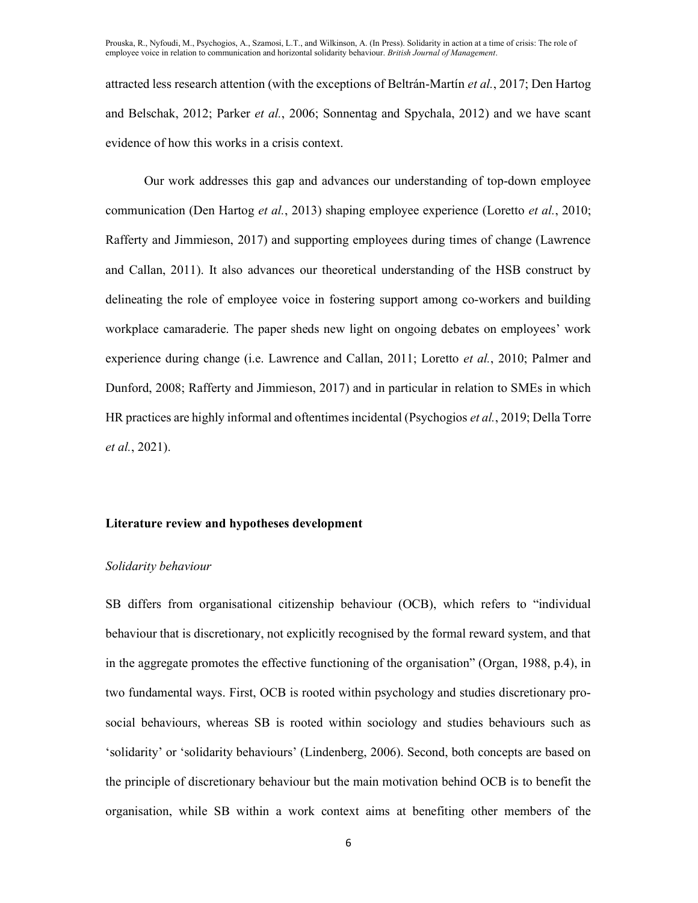attracted less research attention (with the exceptions of Beltrán-Martín et al., 2017; Den Hartog and Belschak, 2012; Parker et al., 2006; Sonnentag and Spychala, 2012) and we have scant evidence of how this works in a crisis context.

Our work addresses this gap and advances our understanding of top-down employee communication (Den Hartog *et al.*, 2013) shaping employee experience (Loretto *et al.*, 2010; Rafferty and Jimmieson, 2017) and supporting employees during times of change (Lawrence and Callan, 2011). It also advances our theoretical understanding of the HSB construct by delineating the role of employee voice in fostering support among co-workers and building workplace camaraderie. The paper sheds new light on ongoing debates on employees' work experience during change (i.e. Lawrence and Callan, 2011; Loretto et al., 2010; Palmer and Dunford, 2008; Rafferty and Jimmieson, 2017) and in particular in relation to SMEs in which HR practices are highly informal and oftentimes incidental (Psychogios et al., 2019; Della Torre et al., 2021).

#### Literature review and hypotheses development

#### Solidarity behaviour

SB differs from organisational citizenship behaviour (OCB), which refers to "individual behaviour that is discretionary, not explicitly recognised by the formal reward system, and that in the aggregate promotes the effective functioning of the organisation" (Organ, 1988, p.4), in two fundamental ways. First, OCB is rooted within psychology and studies discretionary prosocial behaviours, whereas SB is rooted within sociology and studies behaviours such as 'solidarity' or 'solidarity behaviours' (Lindenberg, 2006). Second, both concepts are based on the principle of discretionary behaviour but the main motivation behind OCB is to benefit the organisation, while SB within a work context aims at benefiting other members of the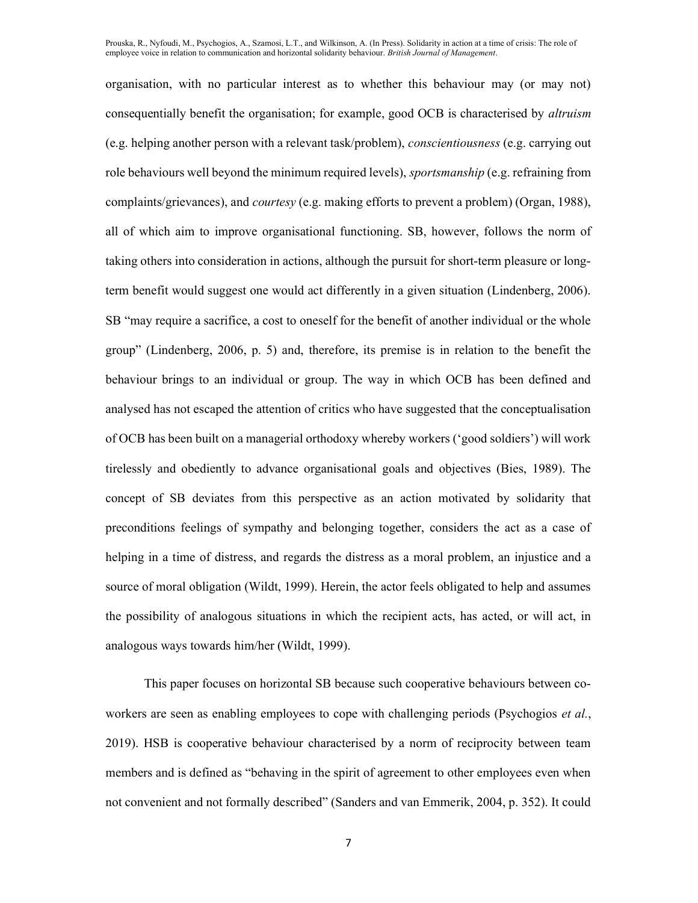organisation, with no particular interest as to whether this behaviour may (or may not) consequentially benefit the organisation; for example, good OCB is characterised by altruism (e.g. helping another person with a relevant task/problem), conscientiousness (e.g. carrying out role behaviours well beyond the minimum required levels), *sportsmanship* (e.g. refraining from complaints/grievances), and courtesy (e.g. making efforts to prevent a problem) (Organ, 1988), all of which aim to improve organisational functioning. SB, however, follows the norm of taking others into consideration in actions, although the pursuit for short-term pleasure or longterm benefit would suggest one would act differently in a given situation (Lindenberg, 2006). SB "may require a sacrifice, a cost to oneself for the benefit of another individual or the whole group" (Lindenberg, 2006, p. 5) and, therefore, its premise is in relation to the benefit the behaviour brings to an individual or group. The way in which OCB has been defined and analysed has not escaped the attention of critics who have suggested that the conceptualisation of OCB has been built on a managerial orthodoxy whereby workers ('good soldiers') will work tirelessly and obediently to advance organisational goals and objectives (Bies, 1989). The concept of SB deviates from this perspective as an action motivated by solidarity that preconditions feelings of sympathy and belonging together, considers the act as a case of helping in a time of distress, and regards the distress as a moral problem, an injustice and a source of moral obligation (Wildt, 1999). Herein, the actor feels obligated to help and assumes the possibility of analogous situations in which the recipient acts, has acted, or will act, in analogous ways towards him/her (Wildt, 1999).

This paper focuses on horizontal SB because such cooperative behaviours between coworkers are seen as enabling employees to cope with challenging periods (Psychogios *et al.*, 2019). HSB is cooperative behaviour characterised by a norm of reciprocity between team members and is defined as "behaving in the spirit of agreement to other employees even when not convenient and not formally described" (Sanders and van Emmerik, 2004, p. 352). It could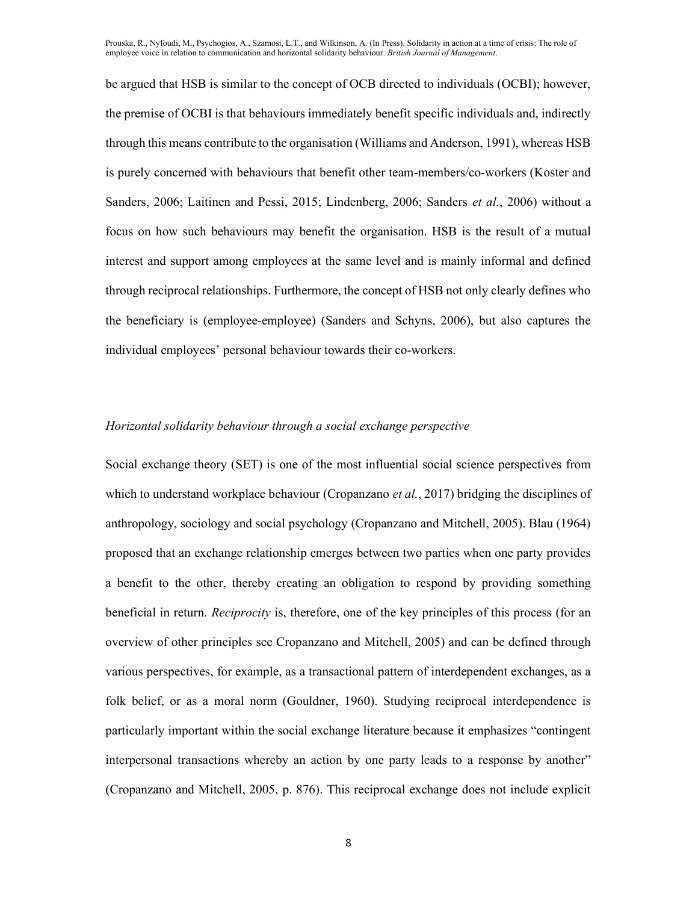be argued that HSB is similar to the concept of OCB directed to individuals (OCBI); however, the premise of OCBI is that behaviours immediately benefit specific individuals and, indirectly through this means contribute to the organisation (Williams and Anderson, 1991), whereas HSB is purely concerned with behaviours that benefit other team-members/co-workers (Koster and Sanders, 2006; Laitinen and Pessi, 2015; Lindenberg, 2006; Sanders et al., 2006) without a focus on how such behaviours may benefit the organisation. HSB is the result of a mutual interest and support among employees at the same level and is mainly informal and defined through reciprocal relationships. Furthermore, the concept of HSB not only clearly defines who the beneficiary is (employee-employee) (Sanders and Schyns, 2006), but also captures the individual employees' personal behaviour towards their co-workers.

# Horizontal solidarity behaviour through a social exchange perspective

Social exchange theory (SET) is one of the most influential social science perspectives from which to understand workplace behaviour (Cropanzano *et al.*, 2017) bridging the disciplines of anthropology, sociology and social psychology (Cropanzano and Mitchell, 2005). Blau (1964) proposed that an exchange relationship emerges between two parties when one party provides a benefit to the other, thereby creating an obligation to respond by providing something beneficial in return. Reciprocity is, therefore, one of the key principles of this process (for an overview of other principles see Cropanzano and Mitchell, 2005) and can be defined through various perspectives, for example, as a transactional pattern of interdependent exchanges, as a folk belief, or as a moral norm (Gouldner, 1960). Studying reciprocal interdependence is particularly important within the social exchange literature because it emphasizes "contingent interpersonal transactions whereby an action by one party leads to a response by another" (Cropanzano and Mitchell, 2005, p. 876). This reciprocal exchange does not include explicit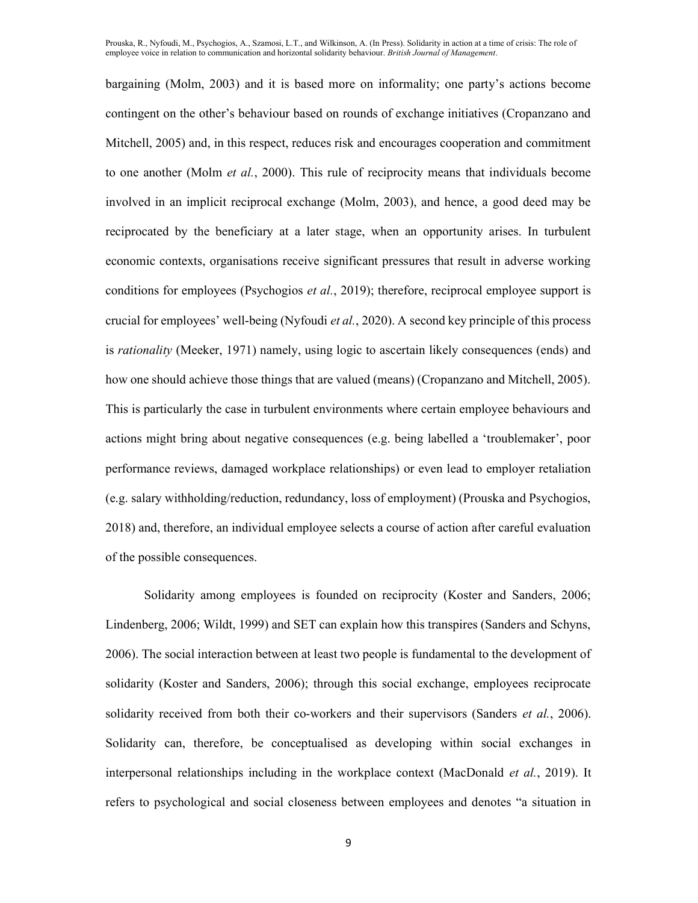bargaining (Molm, 2003) and it is based more on informality; one party's actions become contingent on the other's behaviour based on rounds of exchange initiatives (Cropanzano and Mitchell, 2005) and, in this respect, reduces risk and encourages cooperation and commitment to one another (Molm *et al.*, 2000). This rule of reciprocity means that individuals become involved in an implicit reciprocal exchange (Molm, 2003), and hence, a good deed may be reciprocated by the beneficiary at a later stage, when an opportunity arises. In turbulent economic contexts, organisations receive significant pressures that result in adverse working conditions for employees (Psychogios *et al.*, 2019); therefore, reciprocal employee support is crucial for employees' well-being (Nyfoudi et al., 2020). A second key principle of this process is *rationality* (Meeker, 1971) namely, using logic to ascertain likely consequences (ends) and how one should achieve those things that are valued (means) (Cropanzano and Mitchell, 2005). This is particularly the case in turbulent environments where certain employee behaviours and actions might bring about negative consequences (e.g. being labelled a 'troublemaker', poor performance reviews, damaged workplace relationships) or even lead to employer retaliation (e.g. salary withholding/reduction, redundancy, loss of employment) (Prouska and Psychogios, 2018) and, therefore, an individual employee selects a course of action after careful evaluation of the possible consequences.

Solidarity among employees is founded on reciprocity (Koster and Sanders, 2006; Lindenberg, 2006; Wildt, 1999) and SET can explain how this transpires (Sanders and Schyns, 2006). The social interaction between at least two people is fundamental to the development of solidarity (Koster and Sanders, 2006); through this social exchange, employees reciprocate solidarity received from both their co-workers and their supervisors (Sanders *et al.*, 2006). Solidarity can, therefore, be conceptualised as developing within social exchanges in interpersonal relationships including in the workplace context (MacDonald *et al.*, 2019). It refers to psychological and social closeness between employees and denotes "a situation in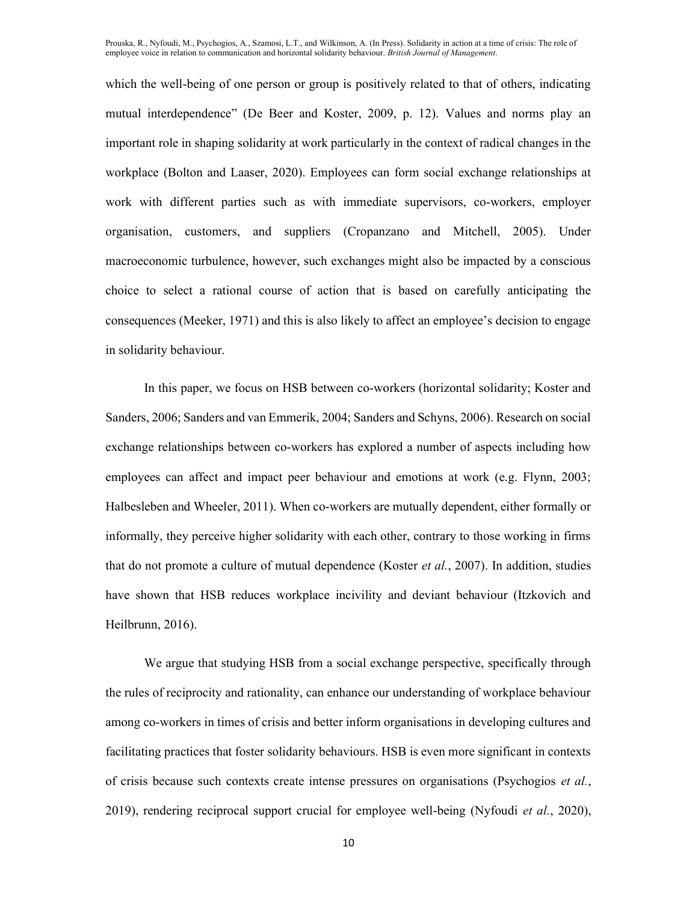which the well-being of one person or group is positively related to that of others, indicating mutual interdependence" (De Beer and Koster, 2009, p. 12). Values and norms play an important role in shaping solidarity at work particularly in the context of radical changes in the workplace (Bolton and Laaser, 2020). Employees can form social exchange relationships at work with different parties such as with immediate supervisors, co-workers, employer organisation, customers, and suppliers (Cropanzano and Mitchell, 2005). Under macroeconomic turbulence, however, such exchanges might also be impacted by a conscious choice to select a rational course of action that is based on carefully anticipating the consequences (Meeker, 1971) and this is also likely to affect an employee's decision to engage in solidarity behaviour.

In this paper, we focus on HSB between co-workers (horizontal solidarity; Koster and Sanders, 2006; Sanders and van Emmerik, 2004; Sanders and Schyns, 2006). Research on social exchange relationships between co-workers has explored a number of aspects including how employees can affect and impact peer behaviour and emotions at work (e.g. Flynn, 2003; Halbesleben and Wheeler, 2011). When co-workers are mutually dependent, either formally or informally, they perceive higher solidarity with each other, contrary to those working in firms that do not promote a culture of mutual dependence (Koster et al., 2007). In addition, studies have shown that HSB reduces workplace incivility and deviant behaviour (Itzkovich and Heilbrunn, 2016).

We argue that studying HSB from a social exchange perspective, specifically through the rules of reciprocity and rationality, can enhance our understanding of workplace behaviour among co-workers in times of crisis and better inform organisations in developing cultures and facilitating practices that foster solidarity behaviours. HSB is even more significant in contexts of crisis because such contexts create intense pressures on organisations (Psychogios et al., 2019), rendering reciprocal support crucial for employee well-being (Nyfoudi et al., 2020),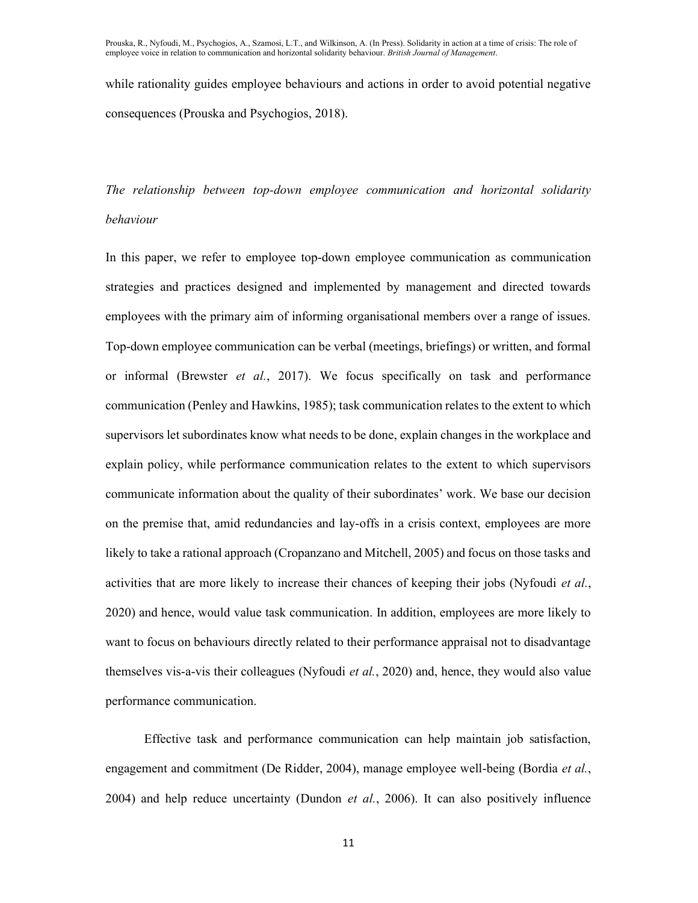while rationality guides employee behaviours and actions in order to avoid potential negative consequences (Prouska and Psychogios, 2018).

The relationship between top-down employee communication and horizontal solidarity behaviour

In this paper, we refer to employee top-down employee communication as communication strategies and practices designed and implemented by management and directed towards employees with the primary aim of informing organisational members over a range of issues. Top-down employee communication can be verbal (meetings, briefings) or written, and formal or informal (Brewster et al., 2017). We focus specifically on task and performance communication (Penley and Hawkins, 1985); task communication relates to the extent to which supervisors let subordinates know what needs to be done, explain changes in the workplace and explain policy, while performance communication relates to the extent to which supervisors communicate information about the quality of their subordinates' work. We base our decision on the premise that, amid redundancies and lay-offs in a crisis context, employees are more likely to take a rational approach (Cropanzano and Mitchell, 2005) and focus on those tasks and activities that are more likely to increase their chances of keeping their jobs (Nyfoudi et al., 2020) and hence, would value task communication. In addition, employees are more likely to want to focus on behaviours directly related to their performance appraisal not to disadvantage themselves vis-a-vis their colleagues (Nyfoudi *et al.*, 2020) and, hence, they would also value performance communication.

Effective task and performance communication can help maintain job satisfaction, engagement and commitment (De Ridder, 2004), manage employee well-being (Bordia et al., 2004) and help reduce uncertainty (Dundon et al., 2006). It can also positively influence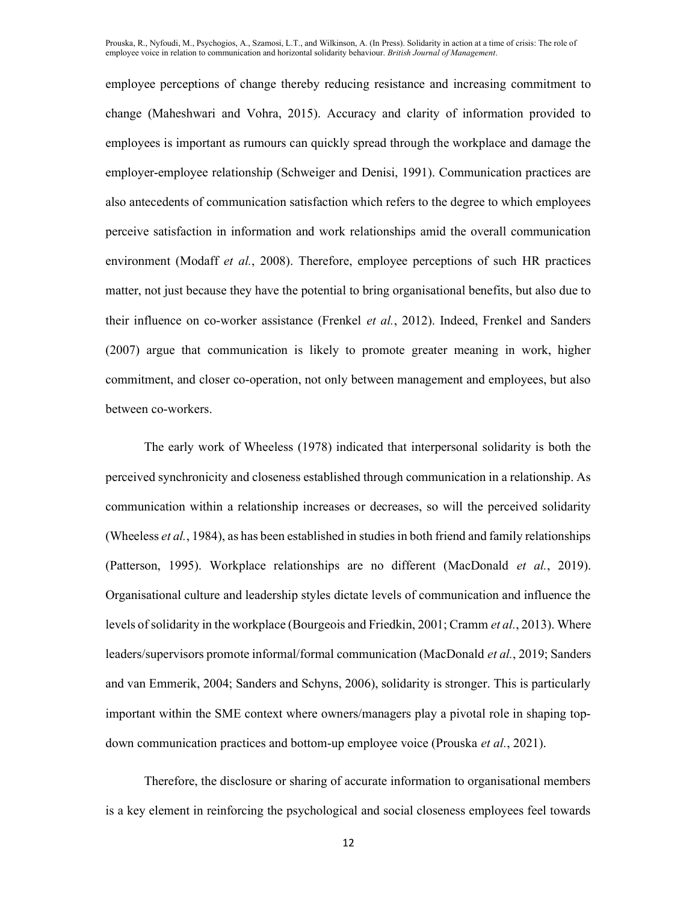employee perceptions of change thereby reducing resistance and increasing commitment to change (Maheshwari and Vohra, 2015). Accuracy and clarity of information provided to employees is important as rumours can quickly spread through the workplace and damage the employer-employee relationship (Schweiger and Denisi, 1991). Communication practices are also antecedents of communication satisfaction which refers to the degree to which employees perceive satisfaction in information and work relationships amid the overall communication environment (Modaff *et al.*, 2008). Therefore, employee perceptions of such HR practices matter, not just because they have the potential to bring organisational benefits, but also due to their influence on co-worker assistance (Frenkel et al., 2012). Indeed, Frenkel and Sanders (2007) argue that communication is likely to promote greater meaning in work, higher commitment, and closer co-operation, not only between management and employees, but also between co-workers.

The early work of Wheeless (1978) indicated that interpersonal solidarity is both the perceived synchronicity and closeness established through communication in a relationship. As communication within a relationship increases or decreases, so will the perceived solidarity (Wheeless et al., 1984), as has been established in studies in both friend and family relationships (Patterson, 1995). Workplace relationships are no different (MacDonald et al., 2019). Organisational culture and leadership styles dictate levels of communication and influence the levels of solidarity in the workplace (Bourgeois and Friedkin, 2001; Cramm et al., 2013). Where leaders/supervisors promote informal/formal communication (MacDonald et al., 2019; Sanders and van Emmerik, 2004; Sanders and Schyns, 2006), solidarity is stronger. This is particularly important within the SME context where owners/managers play a pivotal role in shaping topdown communication practices and bottom-up employee voice (Prouska et al., 2021).

Therefore, the disclosure or sharing of accurate information to organisational members is a key element in reinforcing the psychological and social closeness employees feel towards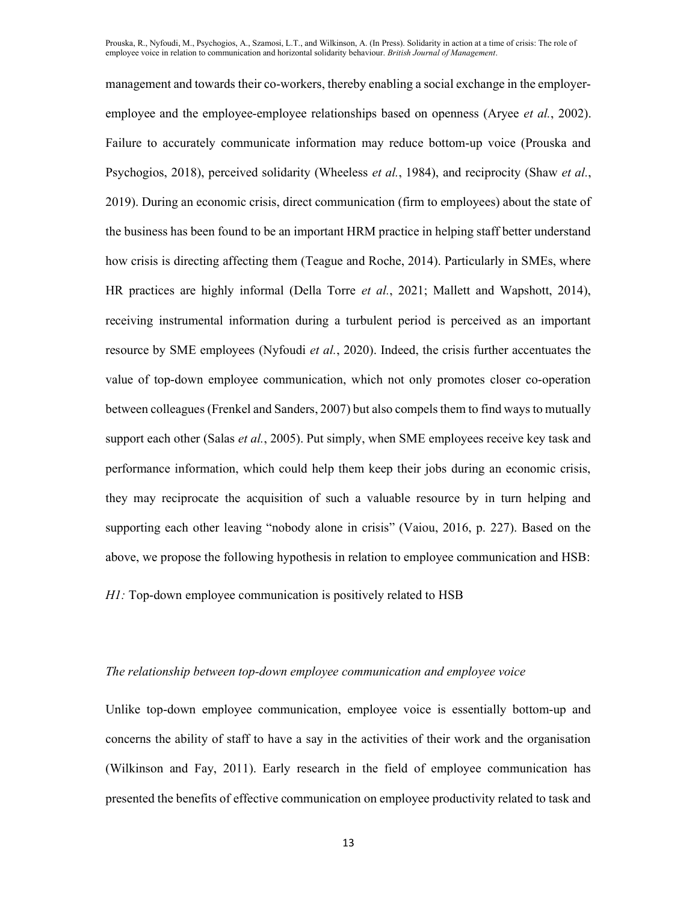management and towards their co-workers, thereby enabling a social exchange in the employeremployee and the employee-employee relationships based on openness (Aryee *et al.*, 2002). Failure to accurately communicate information may reduce bottom-up voice (Prouska and Psychogios, 2018), perceived solidarity (Wheeless *et al.*, 1984), and reciprocity (Shaw *et al.*, 2019). During an economic crisis, direct communication (firm to employees) about the state of the business has been found to be an important HRM practice in helping staff better understand how crisis is directing affecting them (Teague and Roche, 2014). Particularly in SMEs, where HR practices are highly informal (Della Torre *et al.*, 2021; Mallett and Wapshott, 2014), receiving instrumental information during a turbulent period is perceived as an important resource by SME employees (Nyfoudi *et al.*, 2020). Indeed, the crisis further accentuates the value of top-down employee communication, which not only promotes closer co-operation between colleagues (Frenkel and Sanders, 2007) but also compels them to find ways to mutually support each other (Salas *et al.*, 2005). Put simply, when SME employees receive key task and performance information, which could help them keep their jobs during an economic crisis, they may reciprocate the acquisition of such a valuable resource by in turn helping and supporting each other leaving "nobody alone in crisis" (Vaiou, 2016, p. 227). Based on the above, we propose the following hypothesis in relation to employee communication and HSB:

H1: Top-down employee communication is positively related to HSB

#### The relationship between top-down employee communication and employee voice

Unlike top-down employee communication, employee voice is essentially bottom-up and concerns the ability of staff to have a say in the activities of their work and the organisation (Wilkinson and Fay, 2011). Early research in the field of employee communication has presented the benefits of effective communication on employee productivity related to task and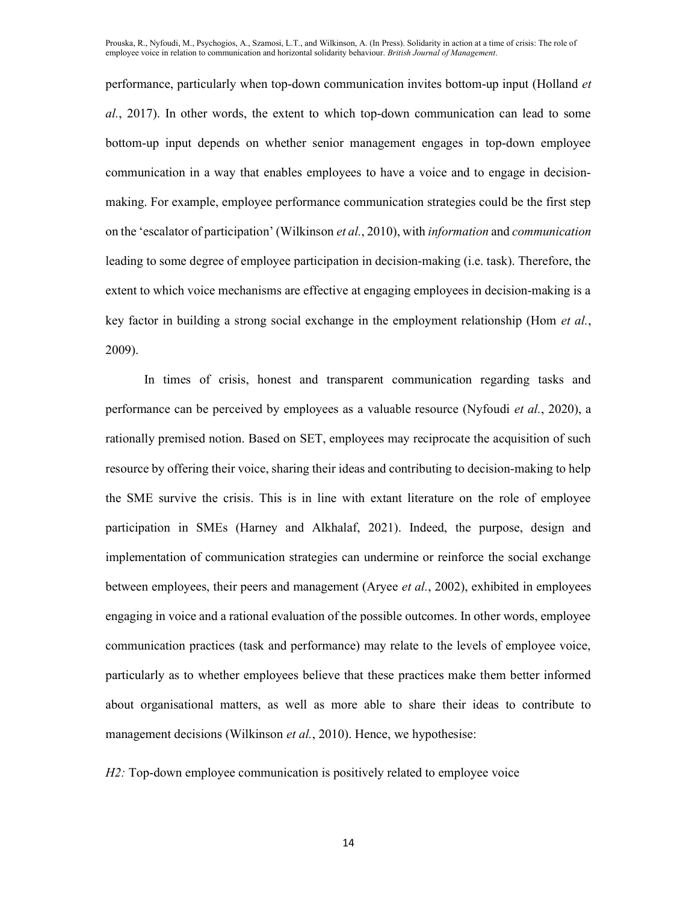performance, particularly when top-down communication invites bottom-up input (Holland et al., 2017). In other words, the extent to which top-down communication can lead to some bottom-up input depends on whether senior management engages in top-down employee communication in a way that enables employees to have a voice and to engage in decisionmaking. For example, employee performance communication strategies could be the first step on the 'escalator of participation' (Wilkinson et al., 2010), with information and communication leading to some degree of employee participation in decision-making (i.e. task). Therefore, the extent to which voice mechanisms are effective at engaging employees in decision-making is a key factor in building a strong social exchange in the employment relationship (Hom et al., 2009).

In times of crisis, honest and transparent communication regarding tasks and performance can be perceived by employees as a valuable resource (Nyfoudi et al., 2020), a rationally premised notion. Based on SET, employees may reciprocate the acquisition of such resource by offering their voice, sharing their ideas and contributing to decision-making to help the SME survive the crisis. This is in line with extant literature on the role of employee participation in SMEs (Harney and Alkhalaf, 2021). Indeed, the purpose, design and implementation of communication strategies can undermine or reinforce the social exchange between employees, their peers and management (Aryee et al., 2002), exhibited in employees engaging in voice and a rational evaluation of the possible outcomes. In other words, employee communication practices (task and performance) may relate to the levels of employee voice, particularly as to whether employees believe that these practices make them better informed about organisational matters, as well as more able to share their ideas to contribute to management decisions (Wilkinson *et al.*, 2010). Hence, we hypothesise:

H2: Top-down employee communication is positively related to employee voice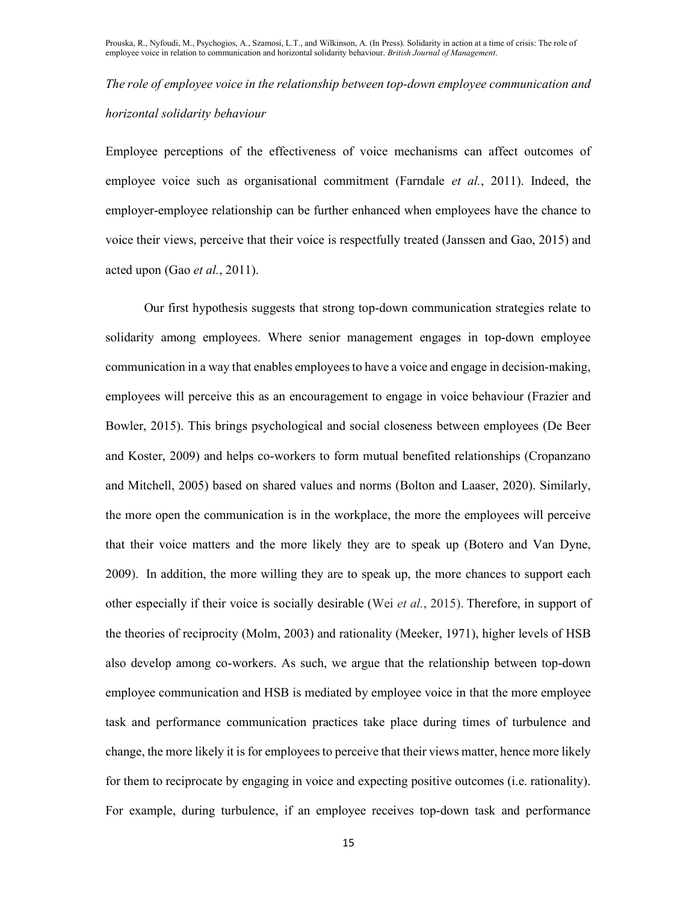The role of employee voice in the relationship between top-down employee communication and horizontal solidarity behaviour

Employee perceptions of the effectiveness of voice mechanisms can affect outcomes of employee voice such as organisational commitment (Farndale et al., 2011). Indeed, the employer-employee relationship can be further enhanced when employees have the chance to voice their views, perceive that their voice is respectfully treated (Janssen and Gao, 2015) and acted upon (Gao et al., 2011).

Our first hypothesis suggests that strong top-down communication strategies relate to solidarity among employees. Where senior management engages in top-down employee communication in a way that enables employees to have a voice and engage in decision-making, employees will perceive this as an encouragement to engage in voice behaviour (Frazier and Bowler, 2015). This brings psychological and social closeness between employees (De Beer and Koster, 2009) and helps co-workers to form mutual benefited relationships (Cropanzano and Mitchell, 2005) based on shared values and norms (Bolton and Laaser, 2020). Similarly, the more open the communication is in the workplace, the more the employees will perceive that their voice matters and the more likely they are to speak up (Botero and Van Dyne, 2009). In addition, the more willing they are to speak up, the more chances to support each other especially if their voice is socially desirable (Wei et al., 2015). Therefore, in support of the theories of reciprocity (Molm, 2003) and rationality (Meeker, 1971), higher levels of HSB also develop among co-workers. As such, we argue that the relationship between top-down employee communication and HSB is mediated by employee voice in that the more employee task and performance communication practices take place during times of turbulence and change, the more likely it is for employees to perceive that their views matter, hence more likely for them to reciprocate by engaging in voice and expecting positive outcomes (i.e. rationality). For example, during turbulence, if an employee receives top-down task and performance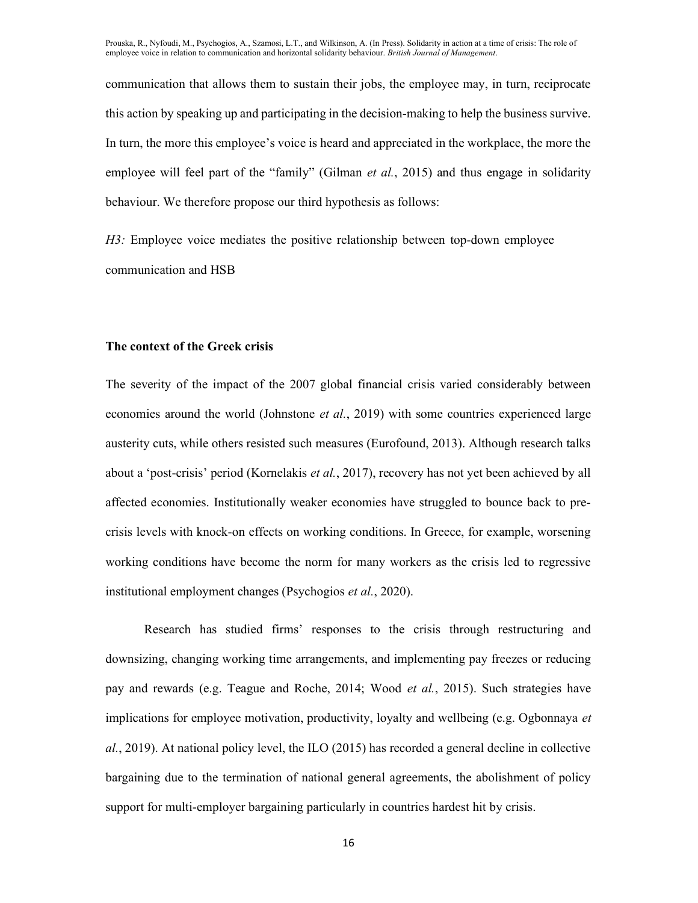communication that allows them to sustain their jobs, the employee may, in turn, reciprocate this action by speaking up and participating in the decision-making to help the business survive. In turn, the more this employee's voice is heard and appreciated in the workplace, the more the employee will feel part of the "family" (Gilman et al., 2015) and thus engage in solidarity behaviour. We therefore propose our third hypothesis as follows:

H3: Employee voice mediates the positive relationship between top-down employee communication and HSB

#### The context of the Greek crisis

The severity of the impact of the 2007 global financial crisis varied considerably between economies around the world (Johnstone et al., 2019) with some countries experienced large austerity cuts, while others resisted such measures (Eurofound, 2013). Although research talks about a 'post-crisis' period (Kornelakis et al., 2017), recovery has not yet been achieved by all affected economies. Institutionally weaker economies have struggled to bounce back to precrisis levels with knock-on effects on working conditions. In Greece, for example, worsening working conditions have become the norm for many workers as the crisis led to regressive institutional employment changes (Psychogios et al., 2020).

Research has studied firms' responses to the crisis through restructuring and downsizing, changing working time arrangements, and implementing pay freezes or reducing pay and rewards (e.g. Teague and Roche, 2014; Wood et al., 2015). Such strategies have implications for employee motivation, productivity, loyalty and wellbeing (e.g. Ogbonnaya et al., 2019). At national policy level, the ILO (2015) has recorded a general decline in collective bargaining due to the termination of national general agreements, the abolishment of policy support for multi-employer bargaining particularly in countries hardest hit by crisis.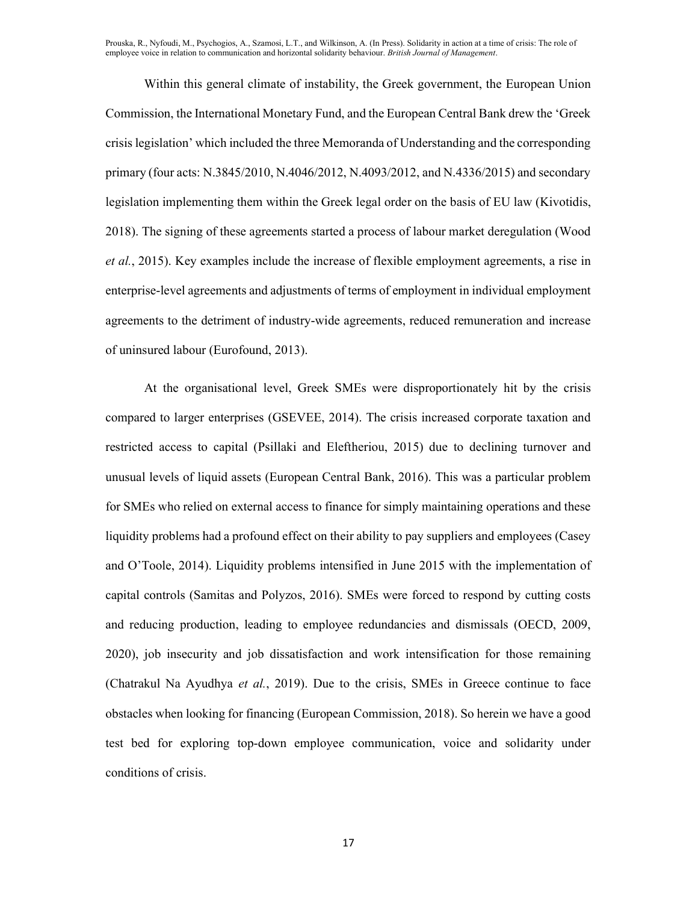Within this general climate of instability, the Greek government, the European Union Commission, the International Monetary Fund, and the European Central Bank drew the 'Greek crisis legislation' which included the three Memoranda of Understanding and the corresponding primary (four acts: N.3845/2010, N.4046/2012, N.4093/2012, and N.4336/2015) and secondary legislation implementing them within the Greek legal order on the basis of EU law (Kivotidis, 2018). The signing of these agreements started a process of labour market deregulation (Wood et al., 2015). Key examples include the increase of flexible employment agreements, a rise in enterprise-level agreements and adjustments of terms of employment in individual employment agreements to the detriment of industry-wide agreements, reduced remuneration and increase of uninsured labour (Eurofound, 2013).

At the organisational level, Greek SMEs were disproportionately hit by the crisis compared to larger enterprises (GSEVEE, 2014). The crisis increased corporate taxation and restricted access to capital (Psillaki and Eleftheriou, 2015) due to declining turnover and unusual levels of liquid assets (European Central Bank, 2016). This was a particular problem for SMEs who relied on external access to finance for simply maintaining operations and these liquidity problems had a profound effect on their ability to pay suppliers and employees (Casey and O'Toole, 2014). Liquidity problems intensified in June 2015 with the implementation of capital controls (Samitas and Polyzos, 2016). SMEs were forced to respond by cutting costs and reducing production, leading to employee redundancies and dismissals (OECD, 2009, 2020), job insecurity and job dissatisfaction and work intensification for those remaining (Chatrakul Na Ayudhya et al., 2019). Due to the crisis, SMEs in Greece continue to face obstacles when looking for financing (European Commission, 2018). So herein we have a good test bed for exploring top-down employee communication, voice and solidarity under conditions of crisis.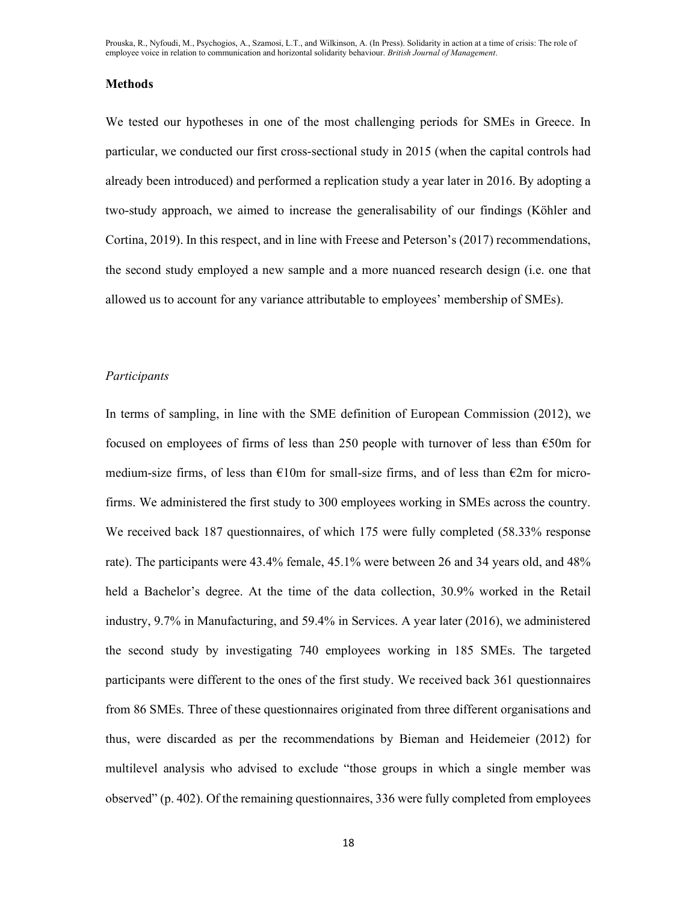#### **Methods**

We tested our hypotheses in one of the most challenging periods for SMEs in Greece. In particular, we conducted our first cross-sectional study in 2015 (when the capital controls had already been introduced) and performed a replication study a year later in 2016. By adopting a two-study approach, we aimed to increase the generalisability of our findings (Köhler and Cortina, 2019). In this respect, and in line with Freese and Peterson's (2017) recommendations, the second study employed a new sample and a more nuanced research design (i.e. one that allowed us to account for any variance attributable to employees' membership of SMEs).

#### Participants

In terms of sampling, in line with the SME definition of European Commission (2012), we focused on employees of firms of less than 250 people with turnover of less than €50m for medium-size firms, of less than  $\epsilon$ 10m for small-size firms, and of less than  $\epsilon$ 2m for microfirms. We administered the first study to 300 employees working in SMEs across the country. We received back 187 questionnaires, of which 175 were fully completed (58.33% response rate). The participants were 43.4% female, 45.1% were between 26 and 34 years old, and 48% held a Bachelor's degree. At the time of the data collection, 30.9% worked in the Retail industry, 9.7% in Manufacturing, and 59.4% in Services. A year later (2016), we administered the second study by investigating 740 employees working in 185 SMEs. The targeted participants were different to the ones of the first study. We received back 361 questionnaires from 86 SMEs. Three of these questionnaires originated from three different organisations and thus, were discarded as per the recommendations by Bieman and Heidemeier (2012) for multilevel analysis who advised to exclude "those groups in which a single member was observed" (p. 402). Of the remaining questionnaires, 336 were fully completed from employees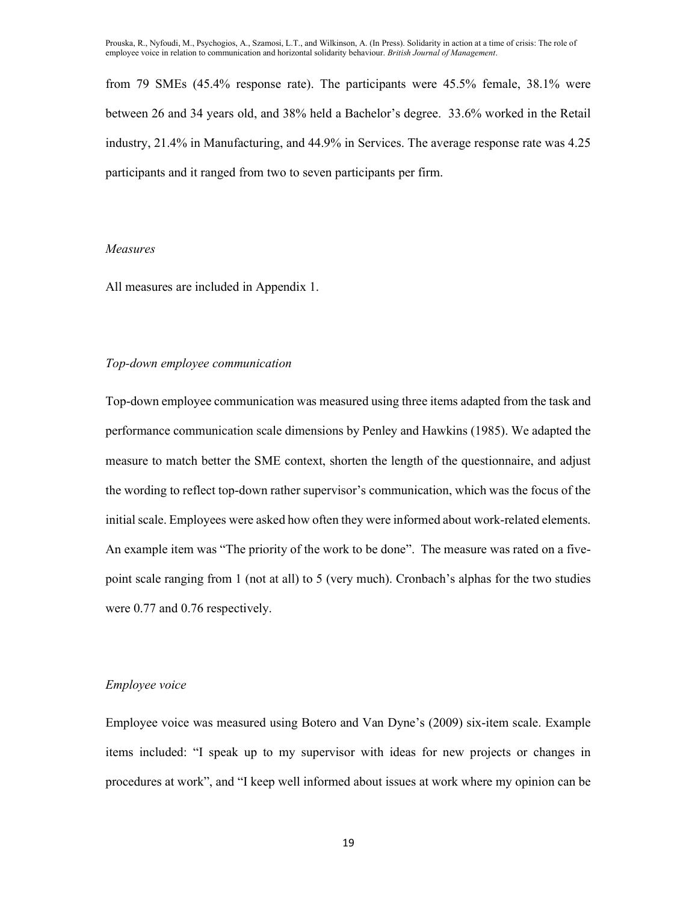from 79 SMEs (45.4% response rate). The participants were 45.5% female, 38.1% were between 26 and 34 years old, and 38% held a Bachelor's degree. 33.6% worked in the Retail industry, 21.4% in Manufacturing, and 44.9% in Services. The average response rate was 4.25 participants and it ranged from two to seven participants per firm.

#### Measures

All measures are included in Appendix 1.

## Top-down employee communication

Top-down employee communication was measured using three items adapted from the task and performance communication scale dimensions by Penley and Hawkins (1985). We adapted the measure to match better the SME context, shorten the length of the questionnaire, and adjust the wording to reflect top-down rather supervisor's communication, which was the focus of the initial scale. Employees were asked how often they were informed about work-related elements. An example item was "The priority of the work to be done". The measure was rated on a fivepoint scale ranging from 1 (not at all) to 5 (very much). Cronbach's alphas for the two studies were 0.77 and 0.76 respectively.

#### Employee voice

Employee voice was measured using Botero and Van Dyne's (2009) six-item scale. Example items included: "I speak up to my supervisor with ideas for new projects or changes in procedures at work", and "I keep well informed about issues at work where my opinion can be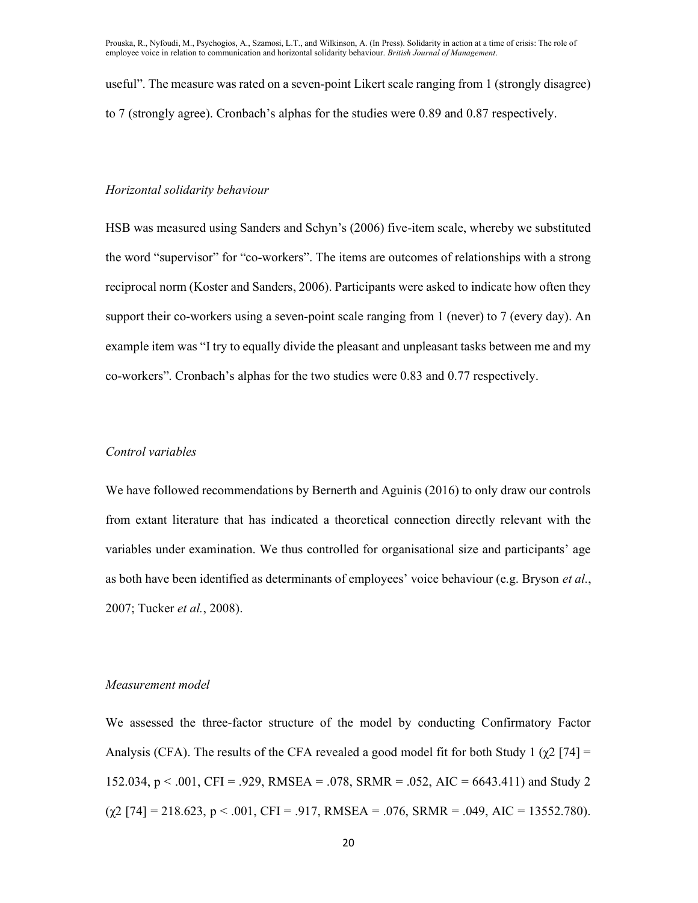useful". The measure was rated on a seven-point Likert scale ranging from 1 (strongly disagree) to 7 (strongly agree). Cronbach's alphas for the studies were 0.89 and 0.87 respectively.

# Horizontal solidarity behaviour

HSB was measured using Sanders and Schyn's (2006) five-item scale, whereby we substituted the word "supervisor" for "co-workers". The items are outcomes of relationships with a strong reciprocal norm (Koster and Sanders, 2006). Participants were asked to indicate how often they support their co-workers using a seven-point scale ranging from 1 (never) to 7 (every day). An example item was "I try to equally divide the pleasant and unpleasant tasks between me and my co-workers". Cronbach's alphas for the two studies were 0.83 and 0.77 respectively.

# Control variables

We have followed recommendations by Bernerth and Aguinis (2016) to only draw our controls from extant literature that has indicated a theoretical connection directly relevant with the variables under examination. We thus controlled for organisational size and participants' age as both have been identified as determinants of employees' voice behaviour (e.g. Bryson *et al.*, 2007; Tucker et al., 2008).

#### Measurement model

We assessed the three-factor structure of the model by conducting Confirmatory Factor Analysis (CFA). The results of the CFA revealed a good model fit for both Study 1 ( $\chi$ 2 [74] = 152.034, p < .001, CFI = .929, RMSEA = .078, SRMR = .052, AIC = 6643.411) and Study 2  $(\chi^2$  [74] = 218.623, p < .001, CFI = .917, RMSEA = .076, SRMR = .049, AIC = 13552.780).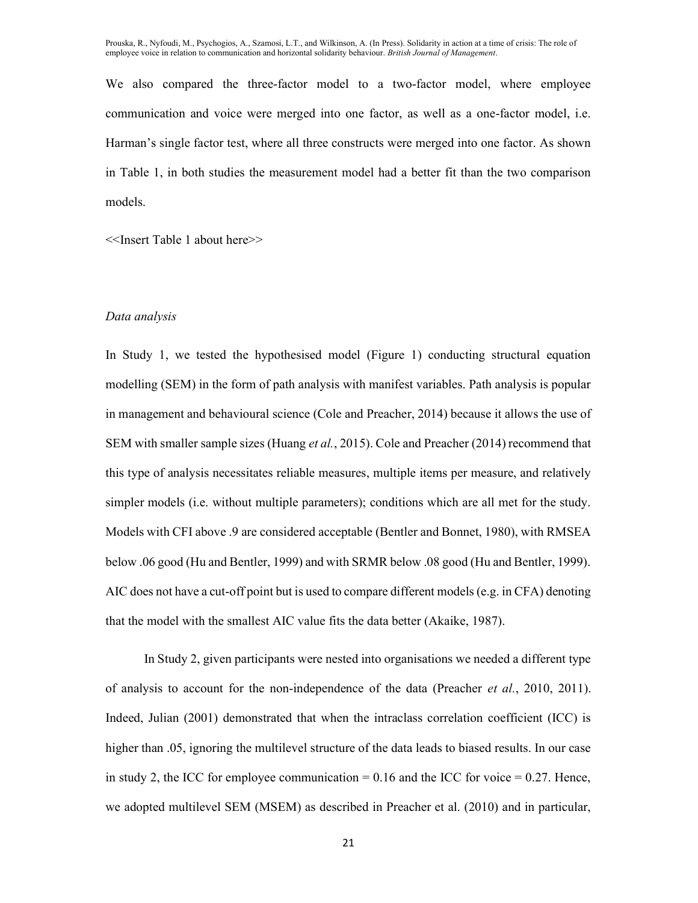We also compared the three-factor model to a two-factor model, where employee communication and voice were merged into one factor, as well as a one-factor model, i.e. Harman's single factor test, where all three constructs were merged into one factor. As shown in Table 1, in both studies the measurement model had a better fit than the two comparison models.

<<Insert Table 1 about here>>

#### Data analysis

In Study 1, we tested the hypothesised model (Figure 1) conducting structural equation modelling (SEM) in the form of path analysis with manifest variables. Path analysis is popular in management and behavioural science (Cole and Preacher, 2014) because it allows the use of SEM with smaller sample sizes (Huang *et al.*, 2015). Cole and Preacher (2014) recommend that this type of analysis necessitates reliable measures, multiple items per measure, and relatively simpler models (i.e. without multiple parameters); conditions which are all met for the study. Models with CFI above .9 are considered acceptable (Bentler and Bonnet, 1980), with RMSEA below .06 good (Hu and Bentler, 1999) and with SRMR below .08 good (Hu and Bentler, 1999). AIC does not have a cut-off point but is used to compare different models (e.g. in CFA) denoting that the model with the smallest AIC value fits the data better (Akaike, 1987).

In Study 2, given participants were nested into organisations we needed a different type of analysis to account for the non-independence of the data (Preacher et al., 2010, 2011). Indeed, Julian (2001) demonstrated that when the intraclass correlation coefficient (ICC) is higher than .05, ignoring the multilevel structure of the data leads to biased results. In our case in study 2, the ICC for employee communication  $= 0.16$  and the ICC for voice  $= 0.27$ . Hence, we adopted multilevel SEM (MSEM) as described in Preacher et al. (2010) and in particular,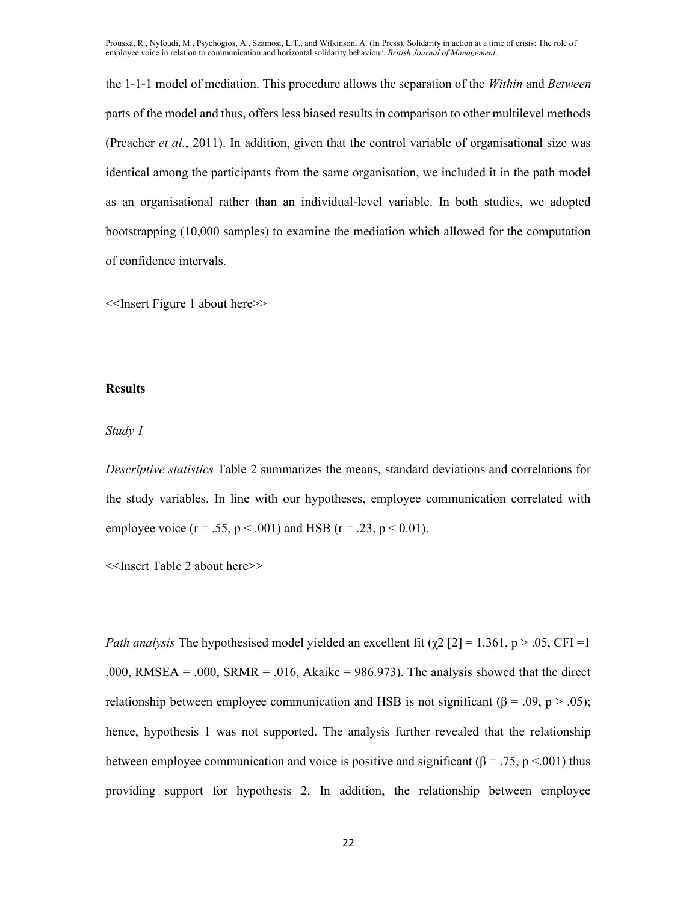the 1-1-1 model of mediation. This procedure allows the separation of the Within and Between parts of the model and thus, offers less biased results in comparison to other multilevel methods (Preacher et al., 2011). In addition, given that the control variable of organisational size was identical among the participants from the same organisation, we included it in the path model as an organisational rather than an individual-level variable. In both studies, we adopted bootstrapping (10,000 samples) to examine the mediation which allowed for the computation of confidence intervals.

<<Insert Figure 1 about here>>

#### **Results**

# Study 1

Descriptive statistics Table 2 summarizes the means, standard deviations and correlations for the study variables. In line with our hypotheses, employee communication correlated with employee voice ( $r = .55$ ,  $p < .001$ ) and HSB ( $r = .23$ ,  $p < .001$ ).

<<Insert Table 2 about here>>

Path analysis The hypothesised model yielded an excellent fit ( $\chi$ 2 [2] = 1.361, p > .05, CFI = 1 .000, RMSEA = .000, SRMR = .016, Akaike = 986.973). The analysis showed that the direct relationship between employee communication and HSB is not significant ( $\beta = .09$ ,  $p > .05$ ); hence, hypothesis 1 was not supported. The analysis further revealed that the relationship between employee communication and voice is positive and significant ( $\beta = .75$ , p <.001) thus providing support for hypothesis 2. In addition, the relationship between employee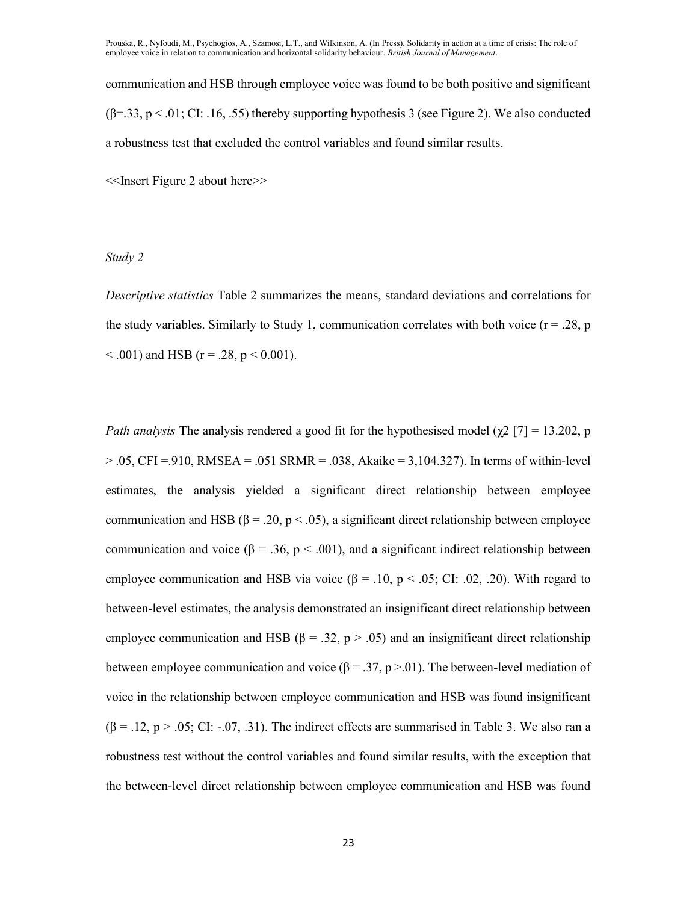communication and HSB through employee voice was found to be both positive and significant  $(\beta = 33, p < 0.01; C1: 16, 0.55)$  thereby supporting hypothesis 3 (see Figure 2). We also conducted a robustness test that excluded the control variables and found similar results.

<<Insert Figure 2 about here>>

Study 2

Descriptive statistics Table 2 summarizes the means, standard deviations and correlations for the study variables. Similarly to Study 1, communication correlates with both voice  $(r = .28, p)$  $< .001$ ) and HSB (r = .28, p  $< 0.001$ ).

Path analysis The analysis rendered a good fit for the hypothesised model ( $\chi$ 2 [7] = 13.202, p  $> 0.05$ , CFI = .910, RMSEA = .051 SRMR = .038, Akaike = 3,104.327). In terms of within-level estimates, the analysis yielded a significant direct relationship between employee communication and HSB ( $\beta = .20$ ,  $p < .05$ ), a significant direct relationship between employee communication and voice ( $\beta = 0.36$ ,  $p < 0.001$ ), and a significant indirect relationship between employee communication and HSB via voice ( $\beta = .10$ ,  $p < .05$ ; CI: .02, .20). With regard to between-level estimates, the analysis demonstrated an insignificant direct relationship between employee communication and HSB ( $\beta = .32$ ,  $p > .05$ ) and an insignificant direct relationship between employee communication and voice ( $\beta = 0.37$ , p > 0.01). The between-level mediation of voice in the relationship between employee communication and HSB was found insignificant  $(\beta = .12, p > .05; C1: -.07, .31)$ . The indirect effects are summarised in Table 3. We also ran a robustness test without the control variables and found similar results, with the exception that the between-level direct relationship between employee communication and HSB was found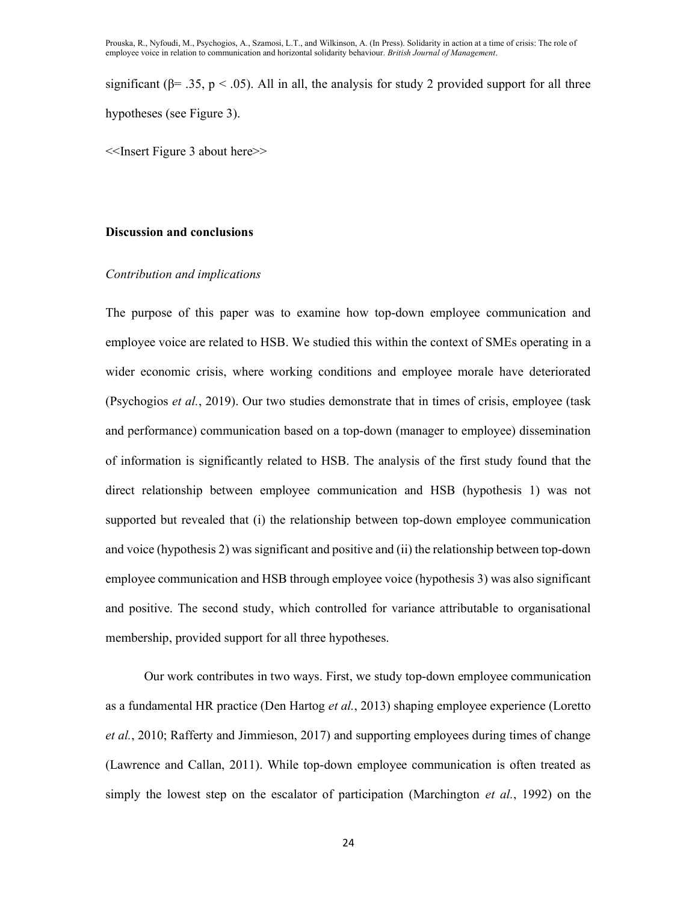significant ( $\beta$ = .35, p < .05). All in all, the analysis for study 2 provided support for all three hypotheses (see Figure 3).

<<Insert Figure 3 about here>>

#### Discussion and conclusions

# Contribution and implications

The purpose of this paper was to examine how top-down employee communication and employee voice are related to HSB. We studied this within the context of SMEs operating in a wider economic crisis, where working conditions and employee morale have deteriorated (Psychogios et al., 2019). Our two studies demonstrate that in times of crisis, employee (task and performance) communication based on a top-down (manager to employee) dissemination of information is significantly related to HSB. The analysis of the first study found that the direct relationship between employee communication and HSB (hypothesis 1) was not supported but revealed that (i) the relationship between top-down employee communication and voice (hypothesis 2) was significant and positive and (ii) the relationship between top-down employee communication and HSB through employee voice (hypothesis 3) was also significant and positive. The second study, which controlled for variance attributable to organisational membership, provided support for all three hypotheses.

Our work contributes in two ways. First, we study top-down employee communication as a fundamental HR practice (Den Hartog et al., 2013) shaping employee experience (Loretto et al., 2010; Rafferty and Jimmieson, 2017) and supporting employees during times of change (Lawrence and Callan, 2011). While top-down employee communication is often treated as simply the lowest step on the escalator of participation (Marchington *et al.*, 1992) on the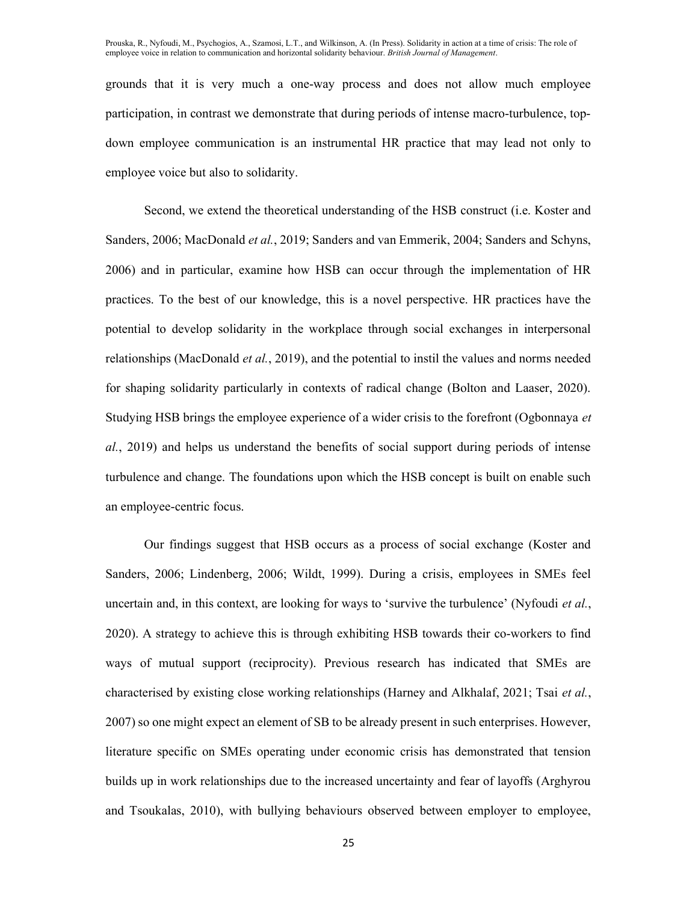grounds that it is very much a one-way process and does not allow much employee participation, in contrast we demonstrate that during periods of intense macro-turbulence, topdown employee communication is an instrumental HR practice that may lead not only to employee voice but also to solidarity.

Second, we extend the theoretical understanding of the HSB construct (i.e. Koster and Sanders, 2006; MacDonald et al., 2019; Sanders and van Emmerik, 2004; Sanders and Schyns, 2006) and in particular, examine how HSB can occur through the implementation of HR practices. To the best of our knowledge, this is a novel perspective. HR practices have the potential to develop solidarity in the workplace through social exchanges in interpersonal relationships (MacDonald et al., 2019), and the potential to instil the values and norms needed for shaping solidarity particularly in contexts of radical change (Bolton and Laaser, 2020). Studying HSB brings the employee experience of a wider crisis to the forefront (Ogbonnaya et al., 2019) and helps us understand the benefits of social support during periods of intense turbulence and change. The foundations upon which the HSB concept is built on enable such an employee-centric focus.

Our findings suggest that HSB occurs as a process of social exchange (Koster and Sanders, 2006; Lindenberg, 2006; Wildt, 1999). During a crisis, employees in SMEs feel uncertain and, in this context, are looking for ways to 'survive the turbulence' (Nyfoudi *et al.*, 2020). A strategy to achieve this is through exhibiting HSB towards their co-workers to find ways of mutual support (reciprocity). Previous research has indicated that SMEs are characterised by existing close working relationships (Harney and Alkhalaf, 2021; Tsai et al., 2007) so one might expect an element of SB to be already present in such enterprises. However, literature specific on SMEs operating under economic crisis has demonstrated that tension builds up in work relationships due to the increased uncertainty and fear of layoffs (Arghyrou and Tsoukalas, 2010), with bullying behaviours observed between employer to employee,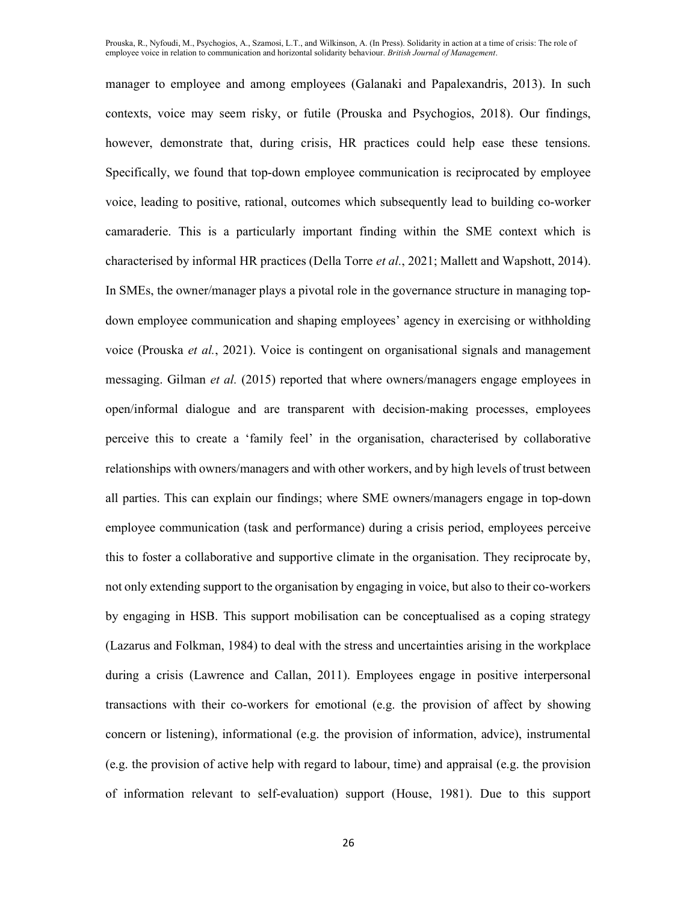manager to employee and among employees (Galanaki and Papalexandris, 2013). In such contexts, voice may seem risky, or futile (Prouska and Psychogios, 2018). Our findings, however, demonstrate that, during crisis, HR practices could help ease these tensions. Specifically, we found that top-down employee communication is reciprocated by employee voice, leading to positive, rational, outcomes which subsequently lead to building co-worker camaraderie. This is a particularly important finding within the SME context which is characterised by informal HR practices (Della Torre *et al.*, 2021; Mallett and Wapshott, 2014). In SMEs, the owner/manager plays a pivotal role in the governance structure in managing topdown employee communication and shaping employees' agency in exercising or withholding voice (Prouska et al., 2021). Voice is contingent on organisational signals and management messaging. Gilman et al. (2015) reported that where owners/managers engage employees in open/informal dialogue and are transparent with decision-making processes, employees perceive this to create a 'family feel' in the organisation, characterised by collaborative relationships with owners/managers and with other workers, and by high levels of trust between all parties. This can explain our findings; where SME owners/managers engage in top-down employee communication (task and performance) during a crisis period, employees perceive this to foster a collaborative and supportive climate in the organisation. They reciprocate by, not only extending support to the organisation by engaging in voice, but also to their co-workers by engaging in HSB. This support mobilisation can be conceptualised as a coping strategy (Lazarus and Folkman, 1984) to deal with the stress and uncertainties arising in the workplace during a crisis (Lawrence and Callan, 2011). Employees engage in positive interpersonal transactions with their co-workers for emotional (e.g. the provision of affect by showing concern or listening), informational (e.g. the provision of information, advice), instrumental (e.g. the provision of active help with regard to labour, time) and appraisal (e.g. the provision of information relevant to self-evaluation) support (House, 1981). Due to this support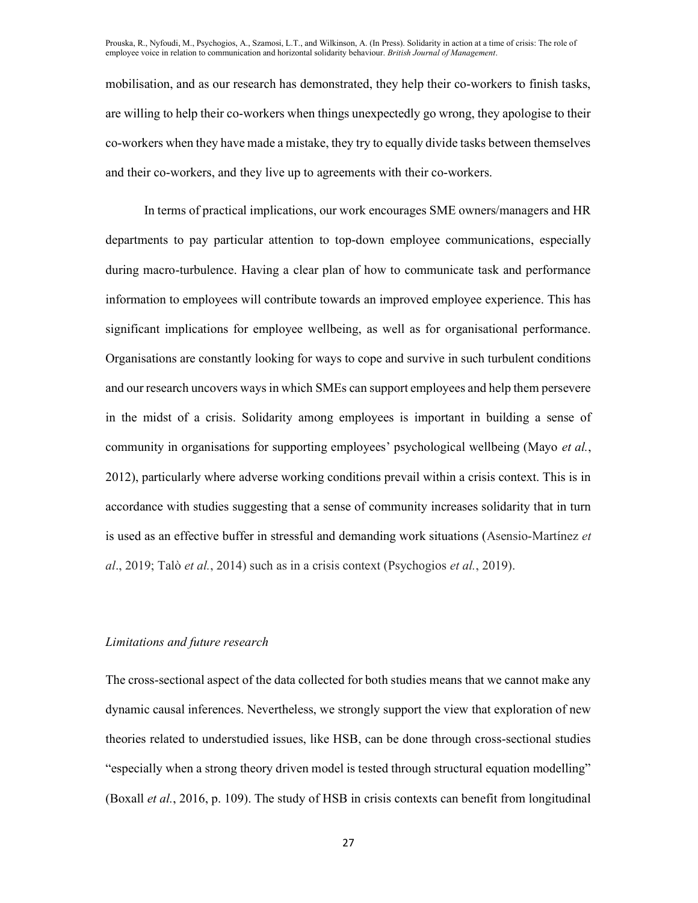mobilisation, and as our research has demonstrated, they help their co-workers to finish tasks, are willing to help their co-workers when things unexpectedly go wrong, they apologise to their co-workers when they have made a mistake, they try to equally divide tasks between themselves and their co-workers, and they live up to agreements with their co-workers.

In terms of practical implications, our work encourages SME owners/managers and HR departments to pay particular attention to top-down employee communications, especially during macro-turbulence. Having a clear plan of how to communicate task and performance information to employees will contribute towards an improved employee experience. This has significant implications for employee wellbeing, as well as for organisational performance. Organisations are constantly looking for ways to cope and survive in such turbulent conditions and our research uncovers ways in which SMEs can support employees and help them persevere in the midst of a crisis. Solidarity among employees is important in building a sense of community in organisations for supporting employees' psychological wellbeing (Mayo *et al.*, 2012), particularly where adverse working conditions prevail within a crisis context. This is in accordance with studies suggesting that a sense of community increases solidarity that in turn is used as an effective buffer in stressful and demanding work situations (Asensio-Martínez et al., 2019; Talò et al., 2014) such as in a crisis context (Psychogios et al., 2019).

# Limitations and future research

The cross-sectional aspect of the data collected for both studies means that we cannot make any dynamic causal inferences. Nevertheless, we strongly support the view that exploration of new theories related to understudied issues, like HSB, can be done through cross-sectional studies "especially when a strong theory driven model is tested through structural equation modelling" (Boxall et al., 2016, p. 109). The study of HSB in crisis contexts can benefit from longitudinal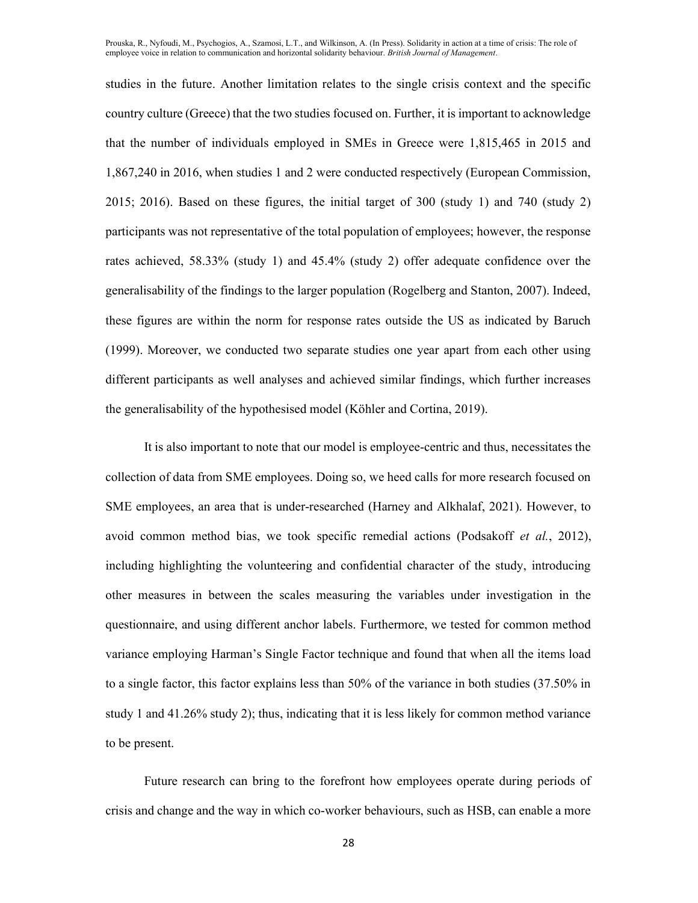studies in the future. Another limitation relates to the single crisis context and the specific country culture (Greece) that the two studies focused on. Further, it is important to acknowledge that the number of individuals employed in SMEs in Greece were 1,815,465 in 2015 and 1,867,240 in 2016, when studies 1 and 2 were conducted respectively (European Commission, 2015; 2016). Based on these figures, the initial target of 300 (study 1) and 740 (study 2) participants was not representative of the total population of employees; however, the response rates achieved, 58.33% (study 1) and 45.4% (study 2) offer adequate confidence over the generalisability of the findings to the larger population (Rogelberg and Stanton, 2007). Indeed, these figures are within the norm for response rates outside the US as indicated by Baruch (1999). Moreover, we conducted two separate studies one year apart from each other using different participants as well analyses and achieved similar findings, which further increases the generalisability of the hypothesised model (Köhler and Cortina, 2019).

It is also important to note that our model is employee-centric and thus, necessitates the collection of data from SME employees. Doing so, we heed calls for more research focused on SME employees, an area that is under-researched (Harney and Alkhalaf, 2021). However, to avoid common method bias, we took specific remedial actions (Podsakoff et al., 2012), including highlighting the volunteering and confidential character of the study, introducing other measures in between the scales measuring the variables under investigation in the questionnaire, and using different anchor labels. Furthermore, we tested for common method variance employing Harman's Single Factor technique and found that when all the items load to a single factor, this factor explains less than 50% of the variance in both studies (37.50% in study 1 and 41.26% study 2); thus, indicating that it is less likely for common method variance to be present.

Future research can bring to the forefront how employees operate during periods of crisis and change and the way in which co-worker behaviours, such as HSB, can enable a more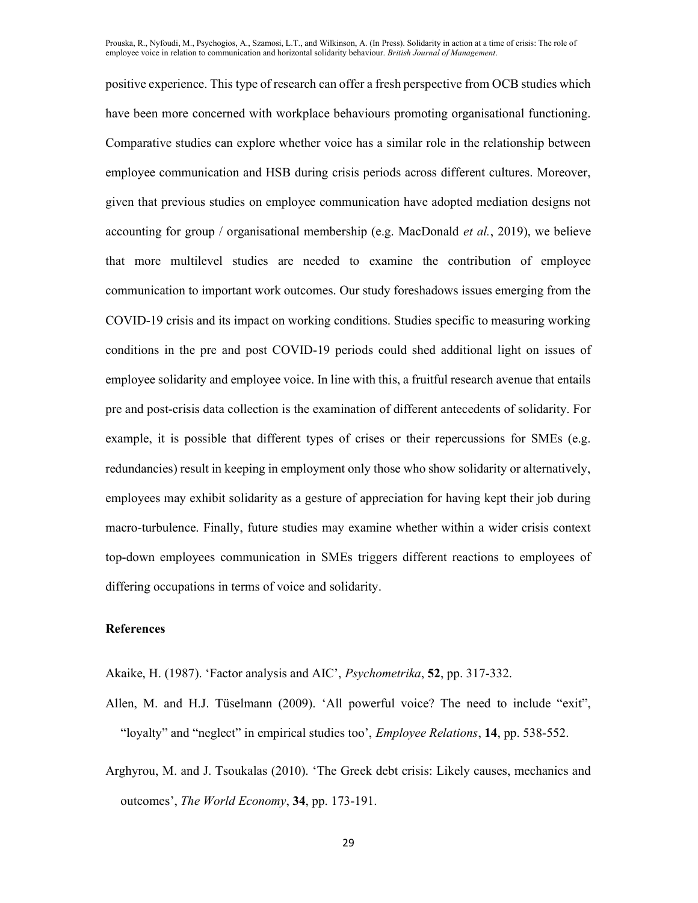positive experience. This type of research can offer a fresh perspective from OCB studies which have been more concerned with workplace behaviours promoting organisational functioning. Comparative studies can explore whether voice has a similar role in the relationship between employee communication and HSB during crisis periods across different cultures. Moreover, given that previous studies on employee communication have adopted mediation designs not accounting for group / organisational membership (e.g. MacDonald *et al.*, 2019), we believe that more multilevel studies are needed to examine the contribution of employee communication to important work outcomes. Our study foreshadows issues emerging from the COVID-19 crisis and its impact on working conditions. Studies specific to measuring working conditions in the pre and post COVID-19 periods could shed additional light on issues of employee solidarity and employee voice. In line with this, a fruitful research avenue that entails pre and post-crisis data collection is the examination of different antecedents of solidarity. For example, it is possible that different types of crises or their repercussions for SMEs (e.g. redundancies) result in keeping in employment only those who show solidarity or alternatively, employees may exhibit solidarity as a gesture of appreciation for having kept their job during macro-turbulence. Finally, future studies may examine whether within a wider crisis context top-down employees communication in SMEs triggers different reactions to employees of differing occupations in terms of voice and solidarity.

# References

Akaike, H. (1987). 'Factor analysis and AIC', Psychometrika, 52, pp. 317-332.

- Allen, M. and H.J. Tüselmann (2009). 'All powerful voice? The need to include "exit", "loyalty" and "neglect" in empirical studies too', *Employee Relations*, 14, pp. 538-552.
- Arghyrou, M. and J. Tsoukalas (2010). 'The Greek debt crisis: Likely causes, mechanics and outcomes', The World Economy, 34, pp. 173-191.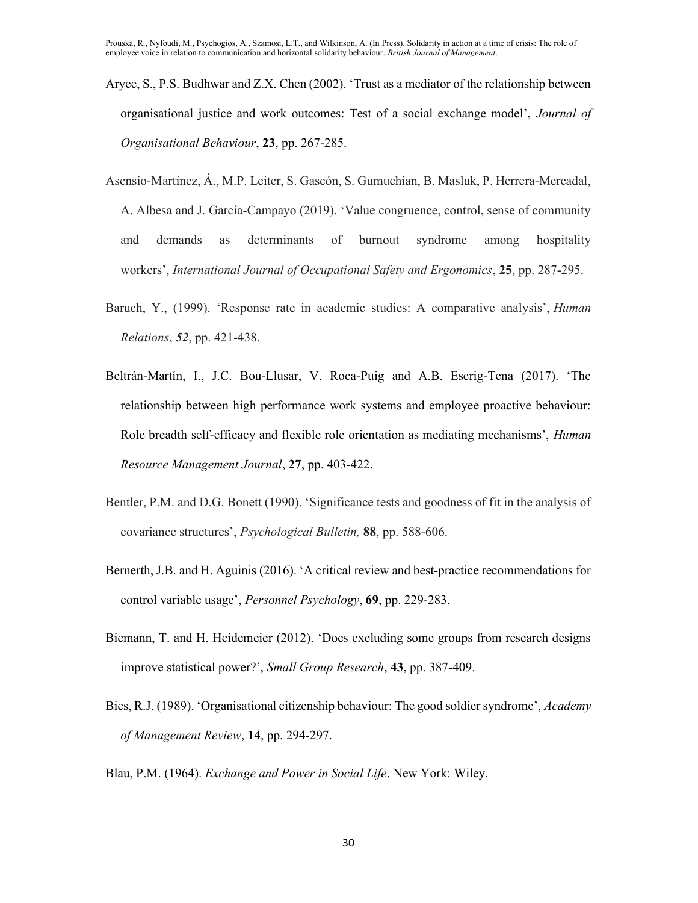- Aryee, S., P.S. Budhwar and Z.X. Chen (2002). 'Trust as a mediator of the relationship between organisational justice and work outcomes: Test of a social exchange model', Journal of Organisational Behaviour, 23, pp. 267-285.
- Asensio-Martínez, Á., M.P. Leiter, S. Gascón, S. Gumuchian, B. Masluk, P. Herrera-Mercadal, A. Albesa and J. García-Campayo (2019). 'Value congruence, control, sense of community and demands as determinants of burnout syndrome among hospitality workers', International Journal of Occupational Safety and Ergonomics, 25, pp. 287-295.
- Baruch, Y., (1999). 'Response rate in academic studies: A comparative analysis', *Human* Relations, 52, pp. 421-438.
- Beltrán-Martín, I., J.C. Bou-Llusar, V. Roca-Puig and A.B. Escrig-Tena (2017). 'The relationship between high performance work systems and employee proactive behaviour: Role breadth self-efficacy and flexible role orientation as mediating mechanisms', *Human* Resource Management Journal, 27, pp. 403-422.
- Bentler, P.M. and D.G. Bonett (1990). 'Significance tests and goodness of fit in the analysis of covariance structures', Psychological Bulletin, 88, pp. 588-606.
- Bernerth, J.B. and H. Aguinis (2016). 'A critical review and best-practice recommendations for control variable usage', Personnel Psychology, 69, pp. 229-283.
- Biemann, T. and H. Heidemeier (2012). 'Does excluding some groups from research designs improve statistical power?', Small Group Research, 43, pp. 387-409.
- Bies, R.J. (1989). 'Organisational citizenship behaviour: The good soldier syndrome', Academy of Management Review, 14, pp. 294-297.
- Blau, P.M. (1964). Exchange and Power in Social Life. New York: Wiley.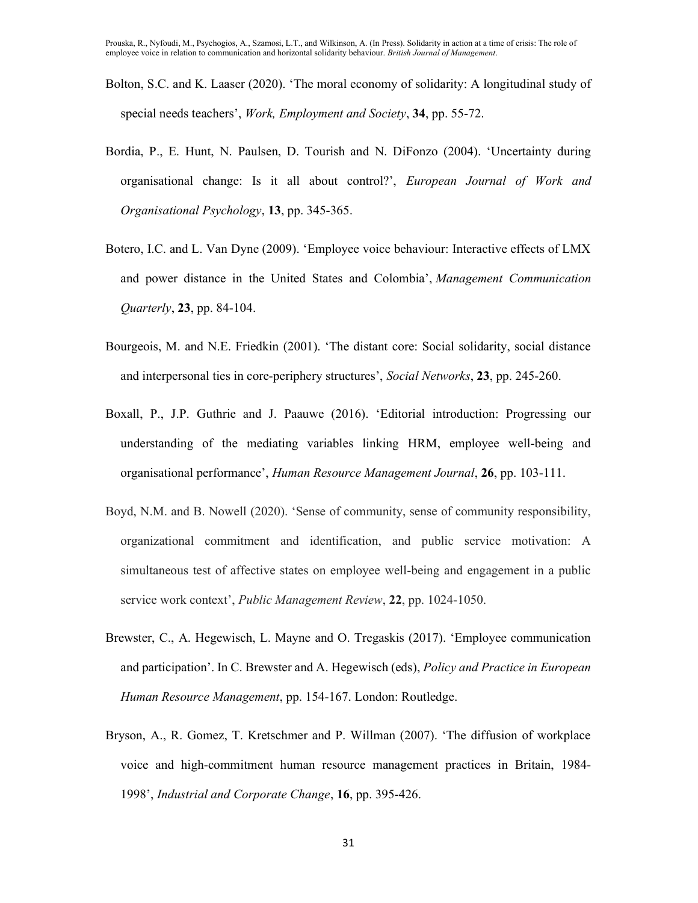- Bolton, S.C. and K. Laaser (2020). 'The moral economy of solidarity: A longitudinal study of special needs teachers', Work, Employment and Society, 34, pp. 55-72.
- Bordia, P., E. Hunt, N. Paulsen, D. Tourish and N. DiFonzo (2004). 'Uncertainty during organisational change: Is it all about control?', European Journal of Work and Organisational Psychology, 13, pp. 345-365.
- Botero, I.C. and L. Van Dyne (2009). 'Employee voice behaviour: Interactive effects of LMX and power distance in the United States and Colombia', Management Communication Quarterly, 23, pp. 84-104.
- Bourgeois, M. and N.E. Friedkin (2001). 'The distant core: Social solidarity, social distance and interpersonal ties in core-periphery structures', Social Networks, 23, pp. 245-260.
- Boxall, P., J.P. Guthrie and J. Paauwe (2016). 'Editorial introduction: Progressing our understanding of the mediating variables linking HRM, employee well-being and organisational performance', Human Resource Management Journal, 26, pp. 103-111.
- Boyd, N.M. and B. Nowell (2020). 'Sense of community, sense of community responsibility, organizational commitment and identification, and public service motivation: A simultaneous test of affective states on employee well-being and engagement in a public service work context', Public Management Review, 22, pp. 1024-1050.
- Brewster, C., A. Hegewisch, L. Mayne and O. Tregaskis (2017). 'Employee communication and participation'. In C. Brewster and A. Hegewisch (eds), *Policy and Practice in European* Human Resource Management, pp. 154-167. London: Routledge.
- Bryson, A., R. Gomez, T. Kretschmer and P. Willman (2007). 'The diffusion of workplace voice and high-commitment human resource management practices in Britain, 1984- 1998', Industrial and Corporate Change, 16, pp. 395-426.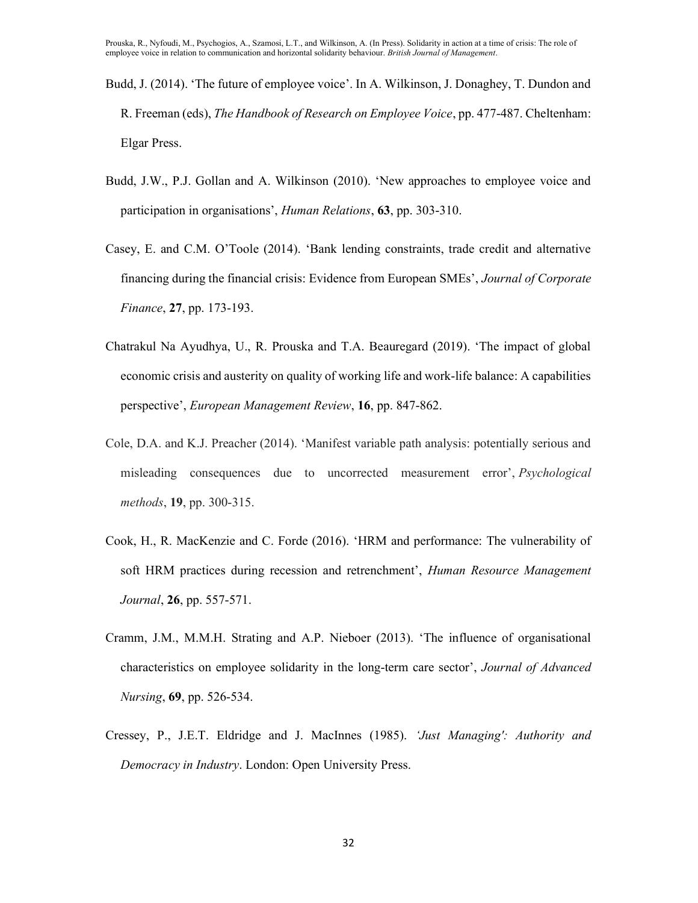- Budd, J. (2014). 'The future of employee voice'. In A. Wilkinson, J. Donaghey, T. Dundon and R. Freeman (eds), The Handbook of Research on Employee Voice, pp. 477-487. Cheltenham: Elgar Press.
- Budd, J.W., P.J. Gollan and A. Wilkinson (2010). 'New approaches to employee voice and participation in organisations', Human Relations, 63, pp. 303-310.
- Casey, E. and C.M. O'Toole (2014). 'Bank lending constraints, trade credit and alternative financing during the financial crisis: Evidence from European SMEs', Journal of Corporate Finance, 27, pp. 173-193.
- Chatrakul Na Ayudhya, U., R. Prouska and T.A. Beauregard (2019). 'The impact of global economic crisis and austerity on quality of working life and work-life balance: A capabilities perspective', European Management Review, 16, pp. 847-862.
- Cole, D.A. and K.J. Preacher (2014). 'Manifest variable path analysis: potentially serious and misleading consequences due to uncorrected measurement error', Psychological methods, **19**, pp. 300-315.
- Cook, H., R. MacKenzie and C. Forde (2016). 'HRM and performance: The vulnerability of soft HRM practices during recession and retrenchment', Human Resource Management Journal, 26, pp. 557-571.
- Cramm, J.M., M.M.H. Strating and A.P. Nieboer (2013). 'The influence of organisational characteristics on employee solidarity in the long-term care sector', Journal of Advanced Nursing, 69, pp. 526-534.
- Cressey, P., J.E.T. Eldridge and J. MacInnes (1985). 'Just Managing': Authority and Democracy in Industry. London: Open University Press.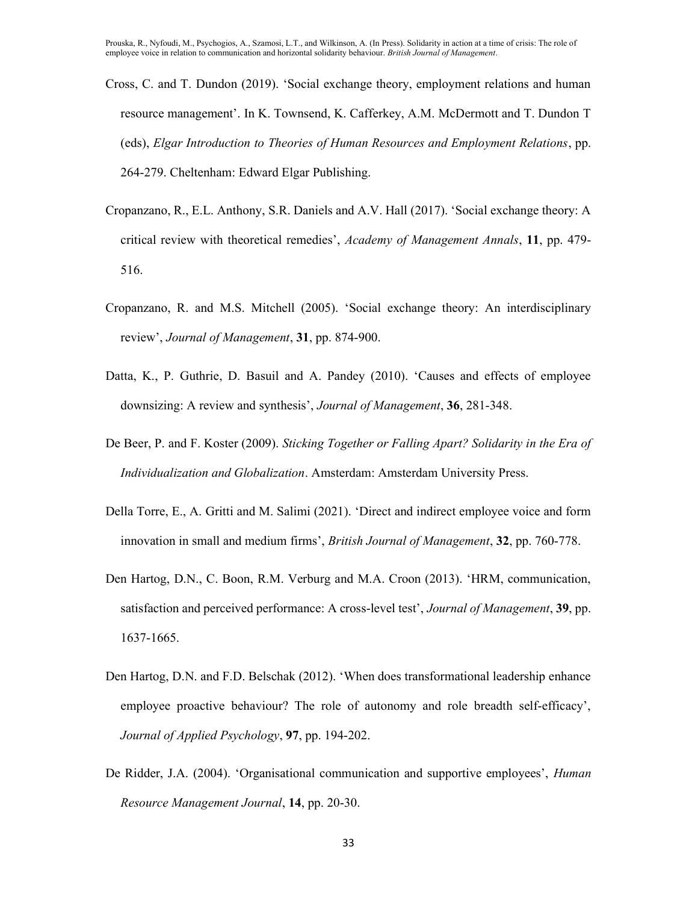- Cross, C. and T. Dundon (2019). 'Social exchange theory, employment relations and human resource management'. In K. Townsend, K. Cafferkey, A.M. McDermott and T. Dundon T (eds), Elgar Introduction to Theories of Human Resources and Employment Relations, pp. 264-279. Cheltenham: Edward Elgar Publishing.
- Cropanzano, R., E.L. Anthony, S.R. Daniels and A.V. Hall (2017). 'Social exchange theory: A critical review with theoretical remedies', Academy of Management Annals, 11, pp. 479-516.
- Cropanzano, R. and M.S. Mitchell (2005). 'Social exchange theory: An interdisciplinary review', Journal of Management, 31, pp. 874-900.
- Datta, K., P. Guthrie, D. Basuil and A. Pandey (2010). 'Causes and effects of employee downsizing: A review and synthesis', Journal of Management, 36, 281-348.
- De Beer, P. and F. Koster (2009). Sticking Together or Falling Apart? Solidarity in the Era of Individualization and Globalization. Amsterdam: Amsterdam University Press.
- Della Torre, E., A. Gritti and M. Salimi (2021). 'Direct and indirect employee voice and form innovation in small and medium firms', *British Journal of Management*, 32, pp. 760-778.
- Den Hartog, D.N., C. Boon, R.M. Verburg and M.A. Croon (2013). 'HRM, communication, satisfaction and perceived performance: A cross-level test', *Journal of Management*, 39, pp. 1637-1665.
- Den Hartog, D.N. and F.D. Belschak (2012). 'When does transformational leadership enhance employee proactive behaviour? The role of autonomy and role breadth self-efficacy', Journal of Applied Psychology, 97, pp. 194-202.
- De Ridder, J.A. (2004). 'Organisational communication and supportive employees', *Human* Resource Management Journal, 14, pp. 20-30.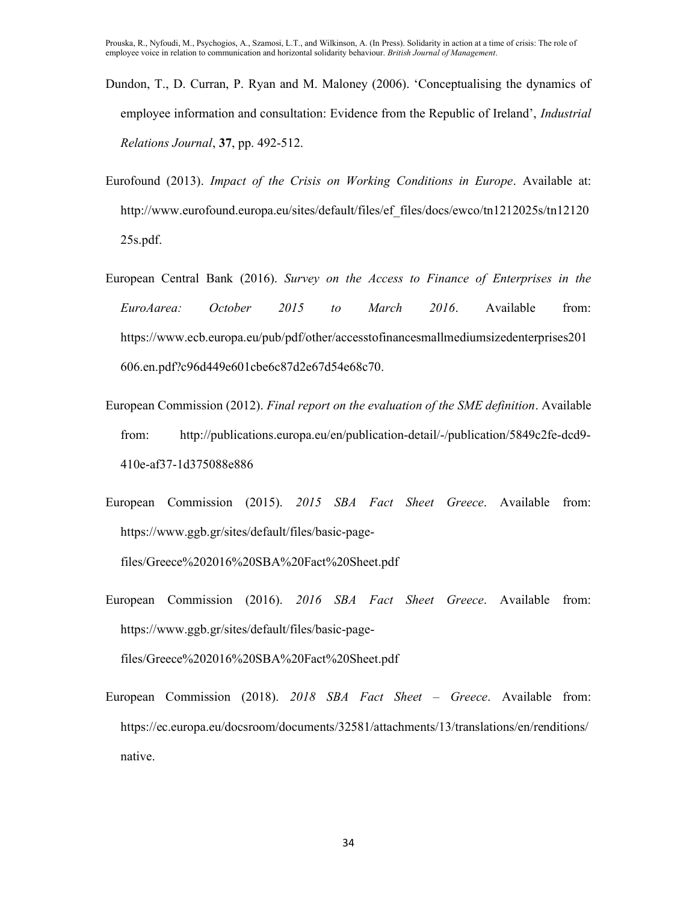- Dundon, T., D. Curran, P. Ryan and M. Maloney (2006). 'Conceptualising the dynamics of employee information and consultation: Evidence from the Republic of Ireland', *Industrial* Relations Journal, 37, pp. 492-512.
- Eurofound (2013). Impact of the Crisis on Working Conditions in Europe. Available at: http://www.eurofound.europa.eu/sites/default/files/ef\_files/docs/ewco/tn1212025s/tn12120 25s.pdf.
- European Central Bank (2016). Survey on the Access to Finance of Enterprises in the EuroAarea: October 2015 to March 2016. Available from: https://www.ecb.europa.eu/pub/pdf/other/accesstofinancesmallmediumsizedenterprises201 606.en.pdf?c96d449e601cbe6c87d2e67d54e68c70.
- European Commission (2012). Final report on the evaluation of the SME definition. Available from: http://publications.europa.eu/en/publication-detail/-/publication/5849c2fe-dcd9- 410e-af37-1d375088e886
- European Commission (2015). 2015 SBA Fact Sheet Greece. Available from: https://www.ggb.gr/sites/default/files/basic-page-

files/Greece%202016%20SBA%20Fact%20Sheet.pdf

European Commission (2016). 2016 SBA Fact Sheet Greece. Available from: https://www.ggb.gr/sites/default/files/basic-page-

files/Greece%202016%20SBA%20Fact%20Sheet.pdf

European Commission (2018). 2018 SBA Fact Sheet – Greece. Available from: https://ec.europa.eu/docsroom/documents/32581/attachments/13/translations/en/renditions/ native.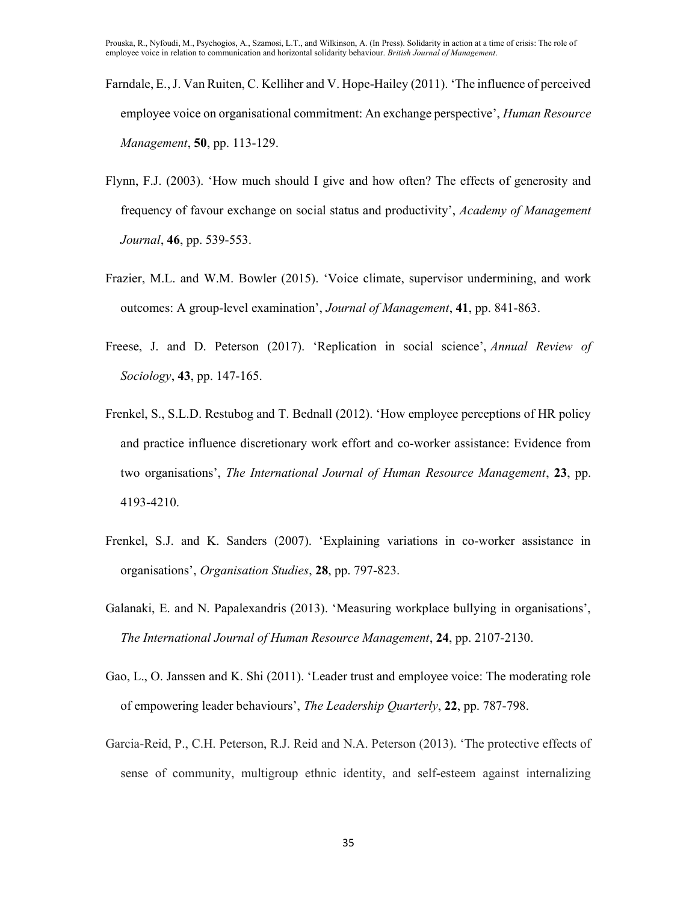- Farndale, E., J. Van Ruiten, C. Kelliher and V. Hope-Hailey (2011). 'The influence of perceived employee voice on organisational commitment: An exchange perspective', *Human Resource* Management, **50**, pp. 113-129.
- Flynn, F.J. (2003). 'How much should I give and how often? The effects of generosity and frequency of favour exchange on social status and productivity', Academy of Management Journal, 46, pp. 539-553.
- Frazier, M.L. and W.M. Bowler (2015). 'Voice climate, supervisor undermining, and work outcomes: A group-level examination', Journal of Management, 41, pp. 841-863.
- Freese, J. and D. Peterson (2017). 'Replication in social science', Annual Review of Sociology, **43**, pp. 147-165.
- Frenkel, S., S.L.D. Restubog and T. Bednall (2012). 'How employee perceptions of HR policy and practice influence discretionary work effort and co-worker assistance: Evidence from two organisations', The International Journal of Human Resource Management, 23, pp. 4193-4210.
- Frenkel, S.J. and K. Sanders (2007). 'Explaining variations in co-worker assistance in organisations', Organisation Studies, 28, pp. 797-823.
- Galanaki, E. and N. Papalexandris (2013). 'Measuring workplace bullying in organisations', The International Journal of Human Resource Management, 24, pp. 2107-2130.
- Gao, L., O. Janssen and K. Shi (2011). 'Leader trust and employee voice: The moderating role of empowering leader behaviours', The Leadership Quarterly, 22, pp. 787-798.
- Garcia-Reid, P., C.H. Peterson, R.J. Reid and N.A. Peterson (2013). 'The protective effects of sense of community, multigroup ethnic identity, and self-esteem against internalizing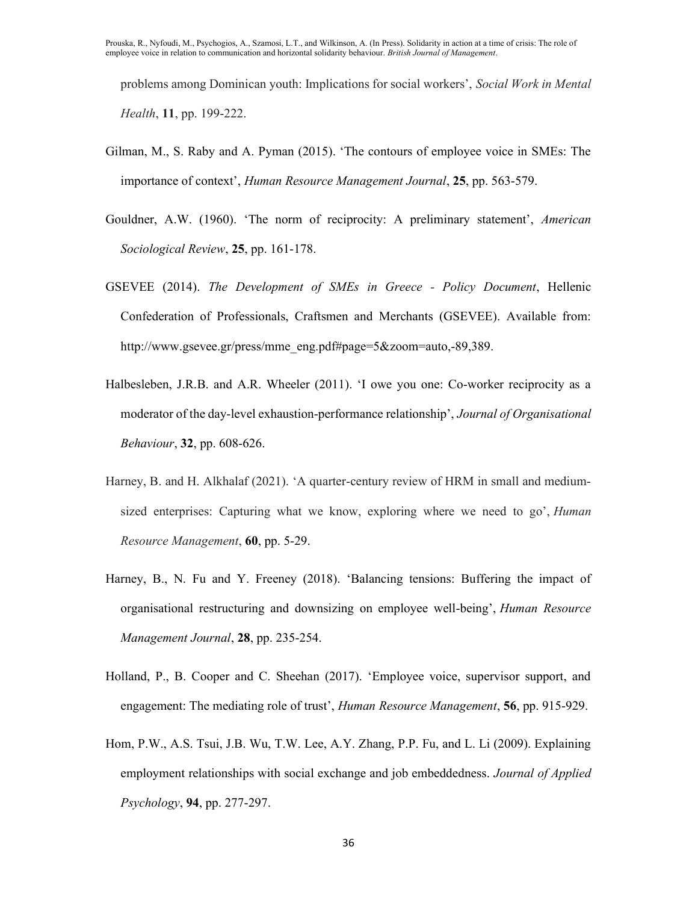problems among Dominican youth: Implications for social workers', Social Work in Mental Health, 11, pp. 199-222.

- Gilman, M., S. Raby and A. Pyman (2015). 'The contours of employee voice in SMEs: The importance of context', Human Resource Management Journal, 25, pp. 563-579.
- Gouldner, A.W. (1960). 'The norm of reciprocity: A preliminary statement', American Sociological Review, 25, pp. 161-178.
- GSEVEE (2014). The Development of SMEs in Greece Policy Document, Hellenic Confederation of Professionals, Craftsmen and Merchants (GSEVEE). Available from: http://www.gsevee.gr/press/mme\_eng.pdf#page=5&zoom=auto,-89,389.
- Halbesleben, J.R.B. and A.R. Wheeler (2011). 'I owe you one: Co-worker reciprocity as a moderator of the day-level exhaustion-performance relationship', Journal of Organisational Behaviour, 32, pp. 608-626.
- Harney, B. and H. Alkhalaf (2021). 'A quarter-century review of HRM in small and mediumsized enterprises: Capturing what we know, exploring where we need to go', *Human* Resource Management, 60, pp. 5-29.
- Harney, B., N. Fu and Y. Freeney (2018). 'Balancing tensions: Buffering the impact of organisational restructuring and downsizing on employee well‐being', Human Resource Management Journal, 28, pp. 235-254.
- Holland, P., B. Cooper and C. Sheehan (2017). 'Employee voice, supervisor support, and engagement: The mediating role of trust', *Human Resource Management*, **56**, pp. 915-929.
- Hom, P.W., A.S. Tsui, J.B. Wu, T.W. Lee, A.Y. Zhang, P.P. Fu, and L. Li (2009). Explaining employment relationships with social exchange and job embeddedness. Journal of Applied Psychology, 94, pp. 277-297.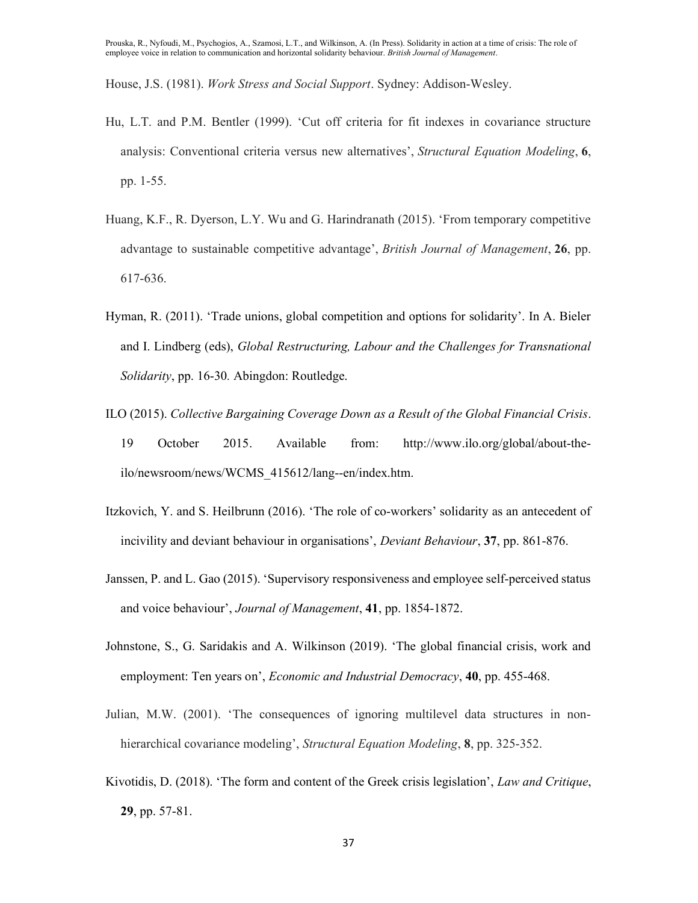House, J.S. (1981). Work Stress and Social Support. Sydney: Addison-Wesley.

- Hu, L.T. and P.M. Bentler (1999). 'Cut off criteria for fit indexes in covariance structure analysis: Conventional criteria versus new alternatives', Structural Equation Modeling, 6, pp. 1-55.
- Huang, K.F., R. Dyerson, L.Y. Wu and G. Harindranath (2015). 'From temporary competitive advantage to sustainable competitive advantage', British Journal of Management, 26, pp. 617-636.
- Hyman, R. (2011). 'Trade unions, global competition and options for solidarity'. In A. Bieler and I. Lindberg (eds), Global Restructuring, Labour and the Challenges for Transnational Solidarity, pp. 16-30. Abingdon: Routledge.
- ILO (2015). Collective Bargaining Coverage Down as a Result of the Global Financial Crisis. 19 October 2015. Available from: http://www.ilo.org/global/about-theilo/newsroom/news/WCMS\_415612/lang--en/index.htm.
- Itzkovich, Y. and S. Heilbrunn (2016). 'The role of co-workers' solidarity as an antecedent of incivility and deviant behaviour in organisations', *Deviant Behaviour*, 37, pp. 861-876.
- Janssen, P. and L. Gao (2015). 'Supervisory responsiveness and employee self-perceived status and voice behaviour', Journal of Management, 41, pp. 1854-1872.
- Johnstone, S., G. Saridakis and A. Wilkinson (2019). 'The global financial crisis, work and employment: Ten years on', *Economic and Industrial Democracy*, 40, pp. 455-468.
- Julian, M.W. (2001). 'The consequences of ignoring multilevel data structures in nonhierarchical covariance modeling', Structural Equation Modeling, 8, pp. 325-352.
- Kivotidis, D. (2018). 'The form and content of the Greek crisis legislation', Law and Critique, 29, pp. 57-81.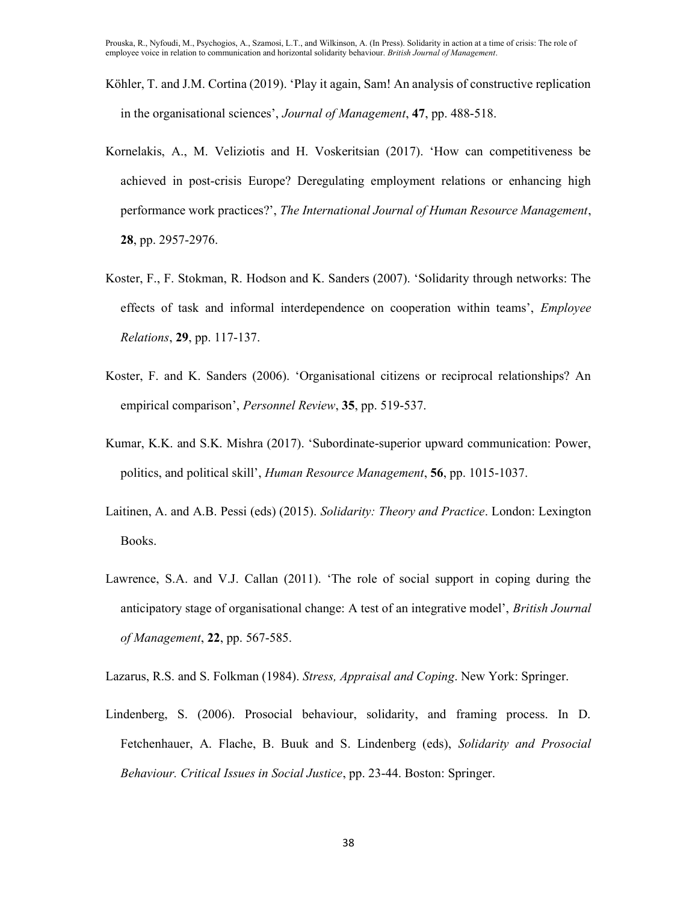- Köhler, T. and J.M. Cortina (2019). 'Play it again, Sam! An analysis of constructive replication in the organisational sciences', Journal of Management, 47, pp. 488-518.
- Kornelakis, A., M. Veliziotis and H. Voskeritsian (2017). 'How can competitiveness be achieved in post-crisis Europe? Deregulating employment relations or enhancing high performance work practices?', The International Journal of Human Resource Management, 28, pp. 2957-2976.
- Koster, F., F. Stokman, R. Hodson and K. Sanders (2007). 'Solidarity through networks: The effects of task and informal interdependence on cooperation within teams', Employee Relations, 29, pp. 117-137.
- Koster, F. and K. Sanders (2006). 'Organisational citizens or reciprocal relationships? An empirical comparison', *Personnel Review*, 35, pp. 519-537.
- Kumar, K.K. and S.K. Mishra (2017). 'Subordinate-superior upward communication: Power, politics, and political skill', Human Resource Management, 56, pp. 1015-1037.
- Laitinen, A. and A.B. Pessi (eds) (2015). Solidarity: Theory and Practice. London: Lexington Books.
- Lawrence, S.A. and V.J. Callan (2011). 'The role of social support in coping during the anticipatory stage of organisational change: A test of an integrative model', *British Journal* of Management, 22, pp. 567-585.
- Lazarus, R.S. and S. Folkman (1984). Stress, Appraisal and Coping. New York: Springer.
- Lindenberg, S. (2006). Prosocial behaviour, solidarity, and framing process. In D. Fetchenhauer, A. Flache, B. Buuk and S. Lindenberg (eds), Solidarity and Prosocial Behaviour. Critical Issues in Social Justice, pp. 23-44. Boston: Springer.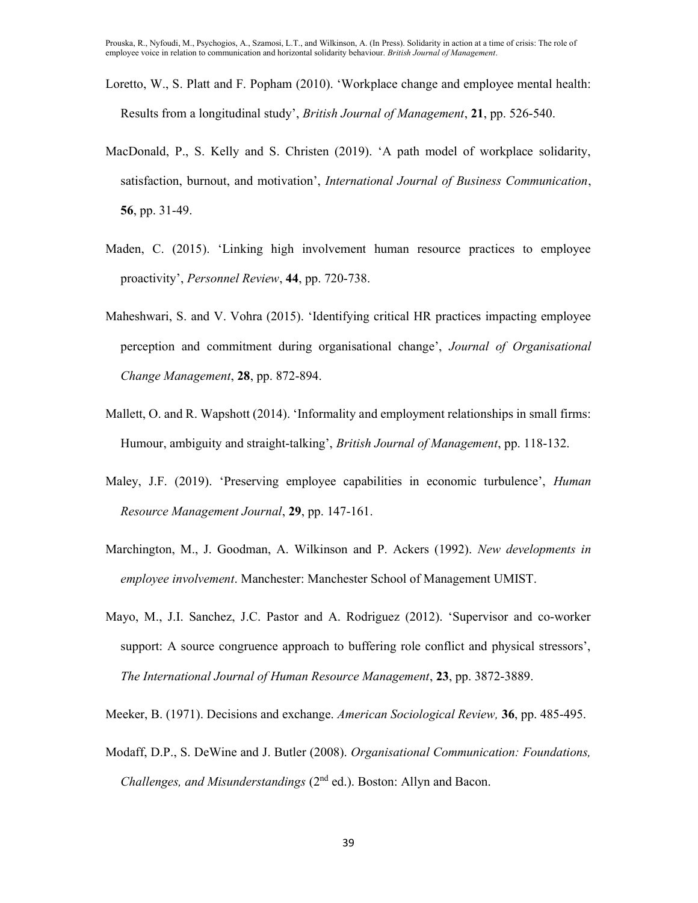- Loretto, W., S. Platt and F. Popham (2010). 'Workplace change and employee mental health: Results from a longitudinal study', British Journal of Management, 21, pp. 526-540.
- MacDonald, P., S. Kelly and S. Christen (2019). 'A path model of workplace solidarity, satisfaction, burnout, and motivation', International Journal of Business Communication, 56, pp. 31-49.
- Maden, C. (2015). 'Linking high involvement human resource practices to employee proactivity', Personnel Review, 44, pp. 720-738.
- Maheshwari, S. and V. Vohra (2015). 'Identifying critical HR practices impacting employee perception and commitment during organisational change', Journal of Organisational Change Management, 28, pp. 872-894.
- Mallett, O. and R. Wapshott (2014). 'Informality and employment relationships in small firms: Humour, ambiguity and straight-talking', *British Journal of Management*, pp. 118-132.
- Maley, J.F. (2019). 'Preserving employee capabilities in economic turbulence', Human Resource Management Journal, 29, pp. 147-161.
- Marchington, M., J. Goodman, A. Wilkinson and P. Ackers (1992). New developments in employee involvement. Manchester: Manchester School of Management UMIST.
- Mayo, M., J.I. Sanchez, J.C. Pastor and A. Rodriguez (2012). 'Supervisor and co-worker support: A source congruence approach to buffering role conflict and physical stressors', The International Journal of Human Resource Management, 23, pp. 3872-3889.

Meeker, B. (1971). Decisions and exchange. American Sociological Review, 36, pp. 485-495.

Modaff, D.P., S. DeWine and J. Butler (2008). Organisational Communication: Foundations, Challenges, and Misunderstandings  $(2<sup>nd</sup>$  ed.). Boston: Allyn and Bacon.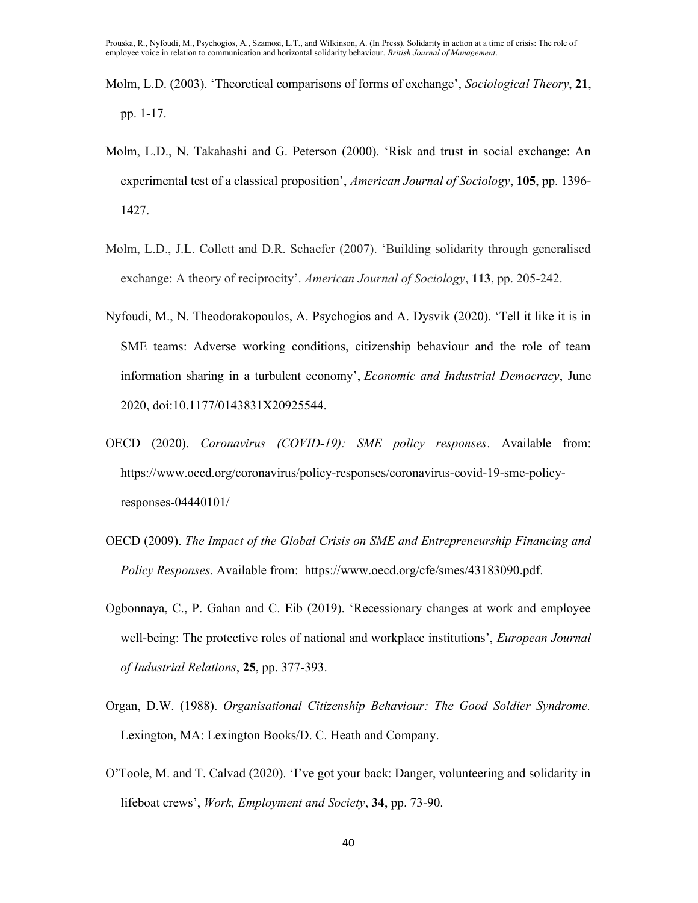- Molm, L.D. (2003). 'Theoretical comparisons of forms of exchange', Sociological Theory, 21, pp. 1-17.
- Molm, L.D., N. Takahashi and G. Peterson (2000). 'Risk and trust in social exchange: An experimental test of a classical proposition', American Journal of Sociology, 105, pp. 1396-1427.
- Molm, L.D., J.L. Collett and D.R. Schaefer (2007). 'Building solidarity through generalised exchange: A theory of reciprocity'. American Journal of Sociology, 113, pp. 205-242.
- Nyfoudi, M., N. Theodorakopoulos, A. Psychogios and A. Dysvik (2020). 'Tell it like it is in SME teams: Adverse working conditions, citizenship behaviour and the role of team information sharing in a turbulent economy', Economic and Industrial Democracy, June 2020, doi:10.1177/0143831X20925544.
- OECD (2020). Coronavirus (COVID-19): SME policy responses. Available from: https://www.oecd.org/coronavirus/policy-responses/coronavirus-covid-19-sme-policyresponses-04440101/
- OECD (2009). The Impact of the Global Crisis on SME and Entrepreneurship Financing and Policy Responses. Available from: https://www.oecd.org/cfe/smes/43183090.pdf.
- Ogbonnaya, C., P. Gahan and C. Eib (2019). 'Recessionary changes at work and employee well-being: The protective roles of national and workplace institutions', *European Journal* of Industrial Relations, 25, pp. 377-393.
- Organ, D.W. (1988). Organisational Citizenship Behaviour: The Good Soldier Syndrome. Lexington, MA: Lexington Books/D. C. Heath and Company.
- O'Toole, M. and T. Calvad (2020). 'I've got your back: Danger, volunteering and solidarity in lifeboat crews', *Work, Employment and Society*, 34, pp. 73-90.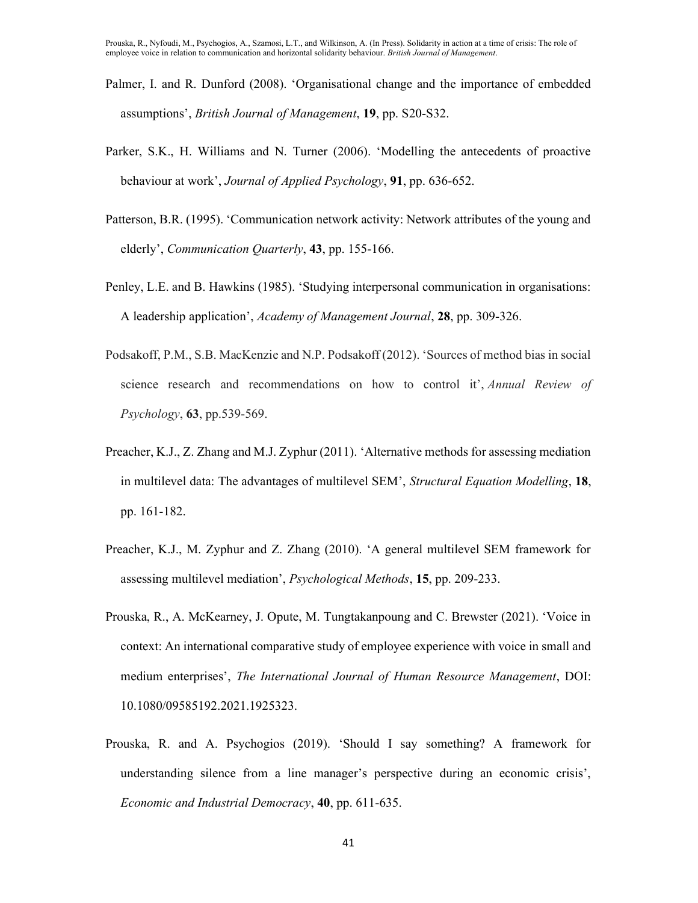- Palmer, I. and R. Dunford (2008). 'Organisational change and the importance of embedded assumptions', British Journal of Management, 19, pp. S20-S32.
- Parker, S.K., H. Williams and N. Turner (2006). 'Modelling the antecedents of proactive behaviour at work', Journal of Applied Psychology, 91, pp. 636-652.
- Patterson, B.R. (1995). 'Communication network activity: Network attributes of the young and elderly', *Communication Quarterly*, **43**, pp. 155-166.
- Penley, L.E. and B. Hawkins (1985). 'Studying interpersonal communication in organisations: A leadership application', Academy of Management Journal, 28, pp. 309-326.
- Podsakoff, P.M., S.B. MacKenzie and N.P. Podsakoff (2012). 'Sources of method bias in social science research and recommendations on how to control it', Annual Review of Psychology, 63, pp.539-569.
- Preacher, K.J., Z. Zhang and M.J. Zyphur (2011). 'Alternative methods for assessing mediation in multilevel data: The advantages of multilevel SEM', Structural Equation Modelling, 18, pp. 161-182.
- Preacher, K.J., M. Zyphur and Z. Zhang (2010). 'A general multilevel SEM framework for assessing multilevel mediation', Psychological Methods, 15, pp. 209-233.
- Prouska, R., A. McKearney, J. Opute, M. Tungtakanpoung and C. Brewster (2021). 'Voice in context: An international comparative study of employee experience with voice in small and medium enterprises', The International Journal of Human Resource Management, DOI: 10.1080/09585192.2021.1925323.
- Prouska, R. and A. Psychogios (2019). 'Should I say something? A framework for understanding silence from a line manager's perspective during an economic crisis', Economic and Industrial Democracy, 40, pp. 611-635.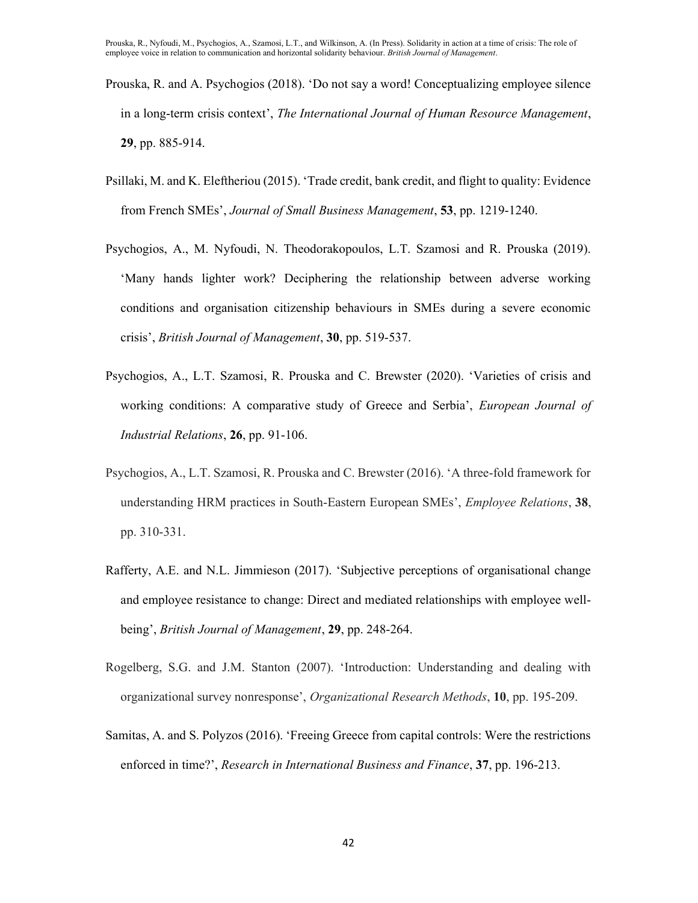- Prouska, R. and A. Psychogios (2018). 'Do not say a word! Conceptualizing employee silence in a long-term crisis context', The International Journal of Human Resource Management, 29, pp. 885-914.
- Psillaki, M. and K. Eleftheriou (2015). 'Trade credit, bank credit, and flight to quality: Evidence from French SMEs', Journal of Small Business Management, 53, pp. 1219-1240.
- Psychogios, A., M. Nyfoudi, N. Theodorakopoulos, L.T. Szamosi and R. Prouska (2019). 'Many hands lighter work? Deciphering the relationship between adverse working conditions and organisation citizenship behaviours in SMEs during a severe economic crisis', British Journal of Management, 30, pp. 519-537.
- Psychogios, A., L.T. Szamosi, R. Prouska and C. Brewster (2020). 'Varieties of crisis and working conditions: A comparative study of Greece and Serbia', *European Journal of* Industrial Relations, 26, pp. 91-106.
- Psychogios, A., L.T. Szamosi, R. Prouska and C. Brewster (2016). 'A three-fold framework for understanding HRM practices in South-Eastern European SMEs', *Employee Relations*, 38, pp. 310-331.
- Rafferty, A.E. and N.L. Jimmieson (2017). 'Subjective perceptions of organisational change and employee resistance to change: Direct and mediated relationships with employee wellbeing', British Journal of Management, 29, pp. 248-264.
- Rogelberg, S.G. and J.M. Stanton (2007). 'Introduction: Understanding and dealing with organizational survey nonresponse', Organizational Research Methods, 10, pp. 195-209.
- Samitas, A. and S. Polyzos (2016). 'Freeing Greece from capital controls: Were the restrictions enforced in time?', Research in International Business and Finance, 37, pp. 196-213.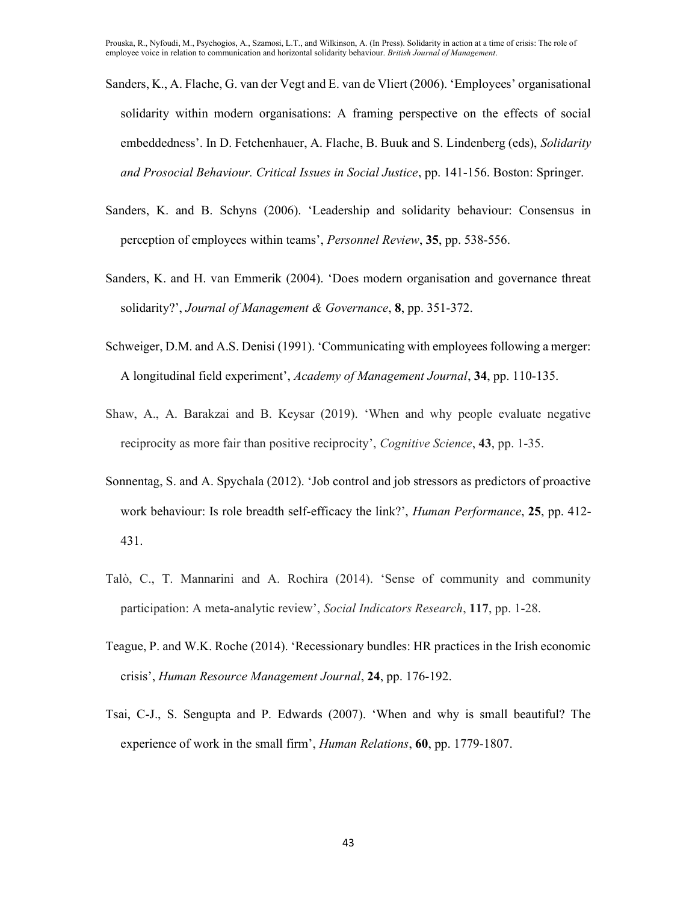- Sanders, K., A. Flache, G. van der Vegt and E. van de Vliert (2006). 'Employees' organisational solidarity within modern organisations: A framing perspective on the effects of social embeddedness'. In D. Fetchenhauer, A. Flache, B. Buuk and S. Lindenberg (eds), Solidarity and Prosocial Behaviour. Critical Issues in Social Justice, pp. 141-156. Boston: Springer.
- Sanders, K. and B. Schyns (2006). 'Leadership and solidarity behaviour: Consensus in perception of employees within teams', Personnel Review, 35, pp. 538-556.
- Sanders, K. and H. van Emmerik (2004). 'Does modern organisation and governance threat solidarity?', Journal of Management & Governance, 8, pp. 351-372.
- Schweiger, D.M. and A.S. Denisi (1991). 'Communicating with employees following a merger: A longitudinal field experiment', Academy of Management Journal, 34, pp. 110-135.
- Shaw, A., A. Barakzai and B. Keysar (2019). 'When and why people evaluate negative reciprocity as more fair than positive reciprocity', Cognitive Science, 43, pp. 1-35.
- Sonnentag, S. and A. Spychala (2012). 'Job control and job stressors as predictors of proactive work behaviour: Is role breadth self-efficacy the link?', *Human Performance*, 25, pp. 412-431.
- Talò, C., T. Mannarini and A. Rochira (2014). 'Sense of community and community participation: A meta-analytic review', Social Indicators Research, 117, pp. 1-28.
- Teague, P. and W.K. Roche (2014). 'Recessionary bundles: HR practices in the Irish economic crisis', Human Resource Management Journal, 24, pp. 176-192.
- Tsai, C-J., S. Sengupta and P. Edwards (2007). 'When and why is small beautiful? The experience of work in the small firm', *Human Relations*, 60, pp. 1779-1807.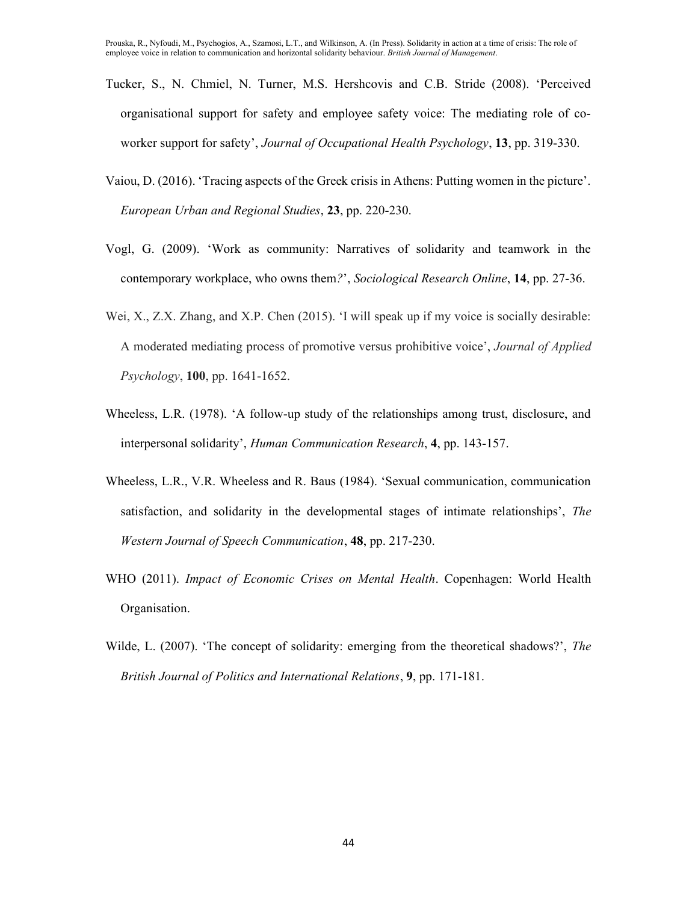- Tucker, S., N. Chmiel, N. Turner, M.S. Hershcovis and C.B. Stride (2008). 'Perceived organisational support for safety and employee safety voice: The mediating role of coworker support for safety', Journal of Occupational Health Psychology, 13, pp. 319-330.
- Vaiou, D. (2016). 'Tracing aspects of the Greek crisis in Athens: Putting women in the picture'. European Urban and Regional Studies, 23, pp. 220-230.
- Vogl, G. (2009). 'Work as community: Narratives of solidarity and teamwork in the contemporary workplace, who owns them?', Sociological Research Online, 14, pp. 27-36.
- Wei, X., Z.X. Zhang, and X.P. Chen (2015). 'I will speak up if my voice is socially desirable: A moderated mediating process of promotive versus prohibitive voice', Journal of Applied Psychology, 100, pp. 1641-1652.
- Wheeless, L.R. (1978). 'A follow-up study of the relationships among trust, disclosure, and interpersonal solidarity', Human Communication Research, 4, pp. 143-157.
- Wheeless, L.R., V.R. Wheeless and R. Baus (1984). 'Sexual communication, communication satisfaction, and solidarity in the developmental stages of intimate relationships', The Western Journal of Speech Communication, 48, pp. 217-230.
- WHO (2011). *Impact of Economic Crises on Mental Health*. Copenhagen: World Health Organisation.
- Wilde, L. (2007). 'The concept of solidarity: emerging from the theoretical shadows?', The British Journal of Politics and International Relations, 9, pp. 171-181.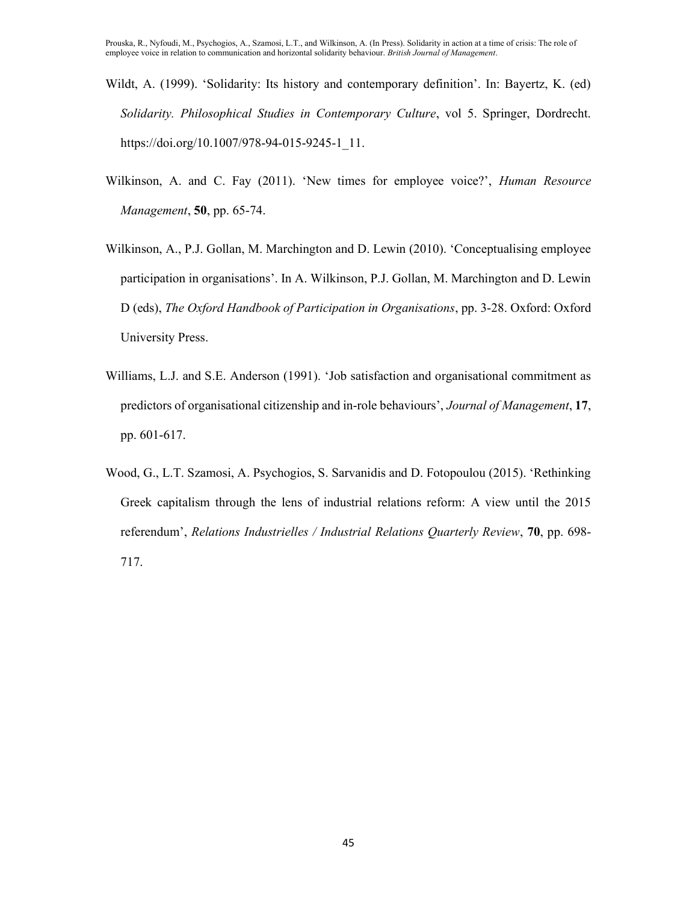- Wildt, A. (1999). 'Solidarity: Its history and contemporary definition'. In: Bayertz, K. (ed) Solidarity. Philosophical Studies in Contemporary Culture, vol 5. Springer, Dordrecht. https://doi.org/10.1007/978-94-015-9245-1\_11.
- Wilkinson, A. and C. Fay (2011). 'New times for employee voice?', Human Resource Management, **50**, pp. 65-74.
- Wilkinson, A., P.J. Gollan, M. Marchington and D. Lewin (2010). 'Conceptualising employee participation in organisations'. In A. Wilkinson, P.J. Gollan, M. Marchington and D. Lewin D (eds), The Oxford Handbook of Participation in Organisations, pp. 3-28. Oxford: Oxford University Press.
- Williams, L.J. and S.E. Anderson (1991). 'Job satisfaction and organisational commitment as predictors of organisational citizenship and in-role behaviours', Journal of Management, 17, pp. 601-617.
- Wood, G., L.T. Szamosi, A. Psychogios, S. Sarvanidis and D. Fotopoulou (2015). 'Rethinking Greek capitalism through the lens of industrial relations reform: A view until the 2015 referendum', Relations Industrielles / Industrial Relations Quarterly Review, 70, pp. 698-717.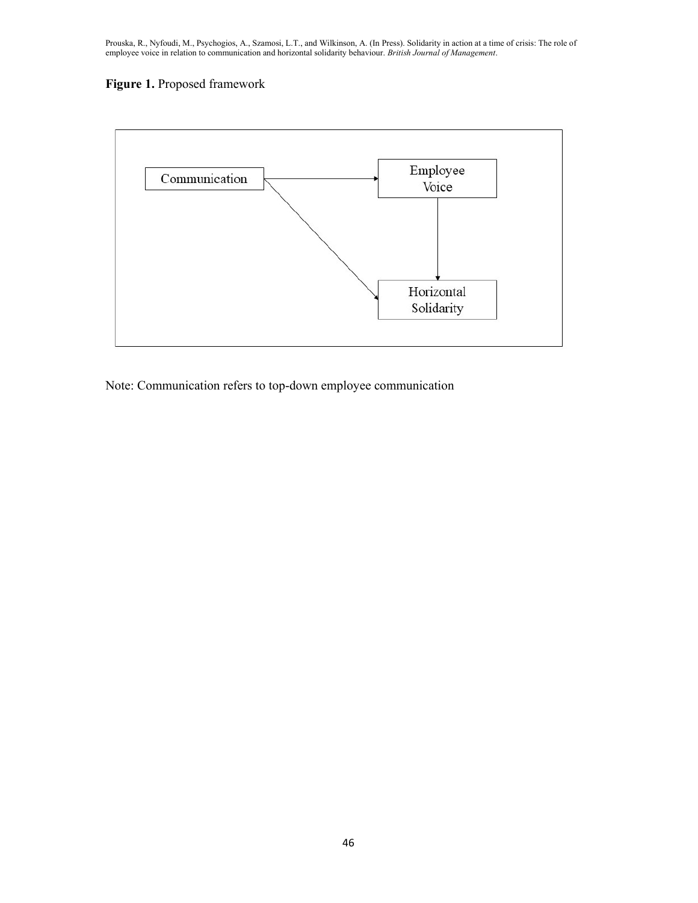# Figure 1. Proposed framework



Note: Communication refers to top-down employee communication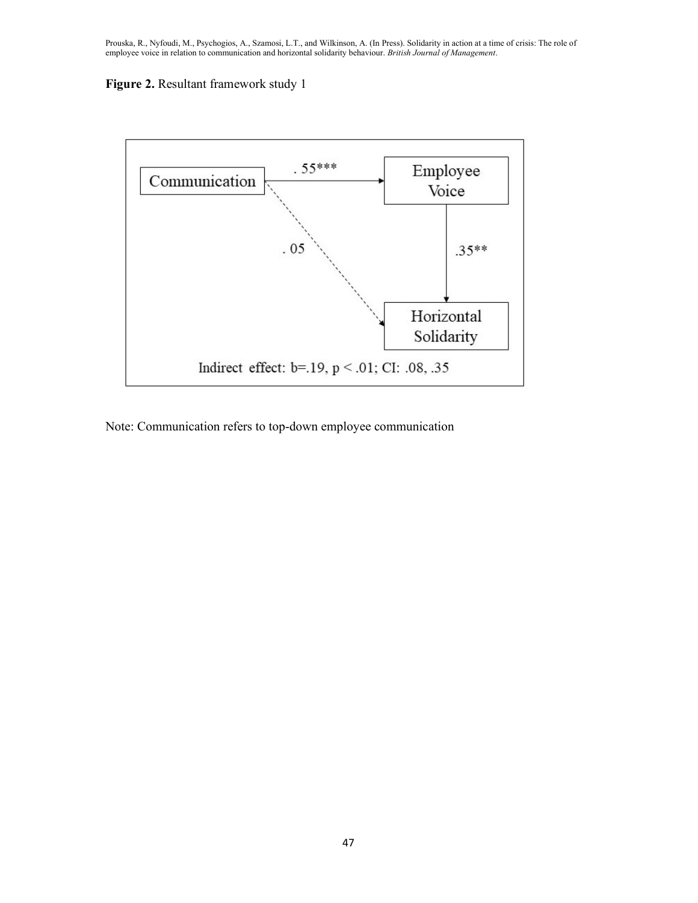



Note: Communication refers to top-down employee communication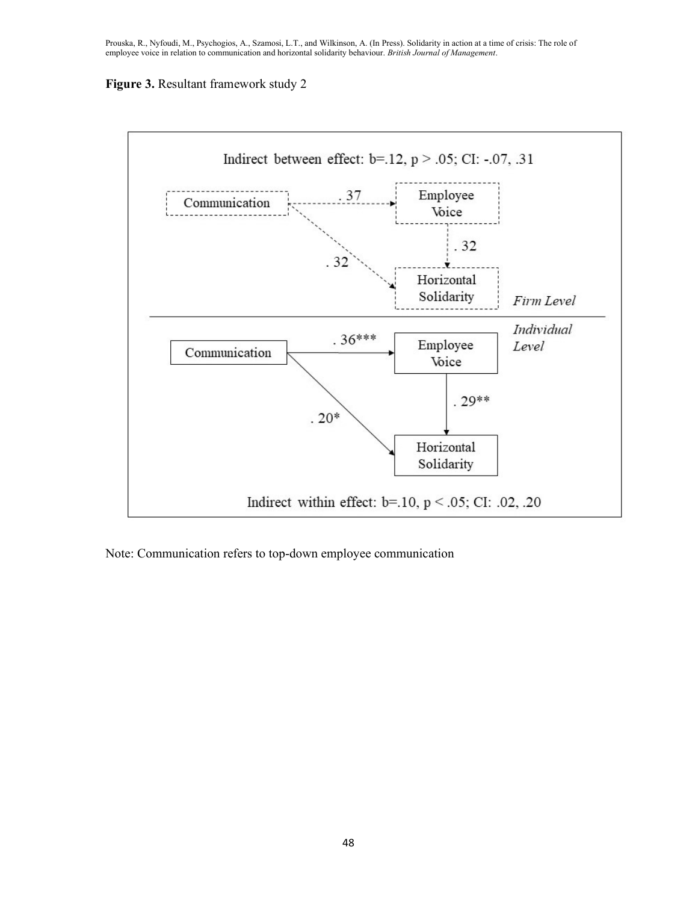# Figure 3. Resultant framework study 2



Note: Communication refers to top-down employee communication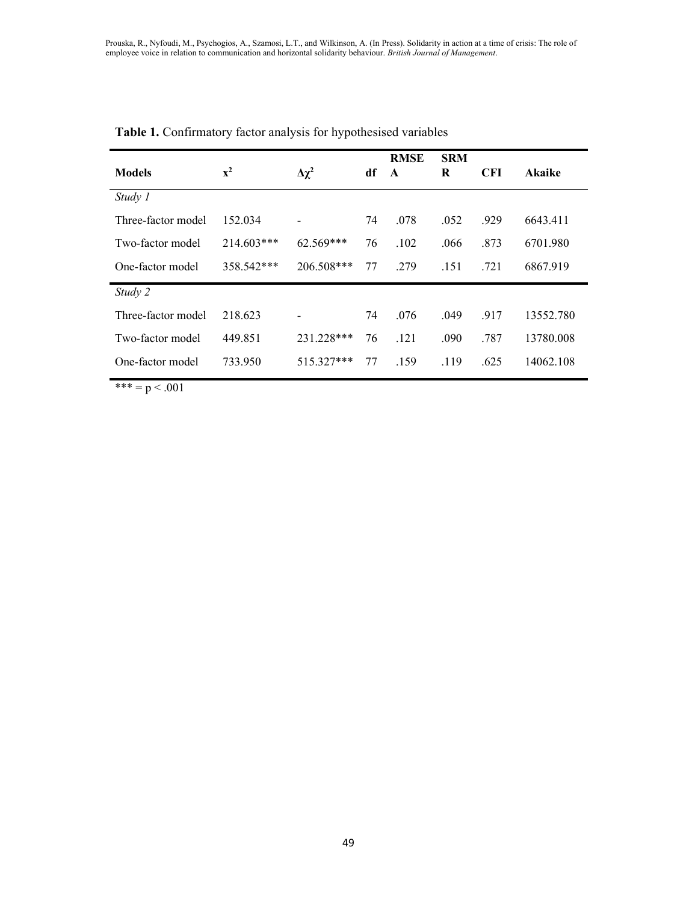| <b>Models</b>      | ${\bf x}^2$ | $\Delta \chi^2$              | df | <b>RMSE</b><br>$\mathbf{A}$ | <b>SRM</b><br>R | <b>CFI</b> | <b>Akaike</b> |
|--------------------|-------------|------------------------------|----|-----------------------------|-----------------|------------|---------------|
| Study 1            |             |                              |    |                             |                 |            |               |
| Three-factor model | 152.034     | $\qquad \qquad \blacksquare$ | 74 | .078                        | .052            | .929       | 6643.411      |
| Two-factor model   | 214.603***  | $62.569***$                  | 76 | .102                        | .066            | .873       | 6701.980      |
| One-factor model   | 358.542***  | $206.508***$                 | 77 | .279                        | .151            | .721       | 6867.919      |
| Study 2            |             |                              |    |                             |                 |            |               |
| Three-factor model | 218.623     | $\qquad \qquad \blacksquare$ | 74 | .076                        | .049            | .917       | 13552.780     |
| Two-factor model   | 449.851     | 231.228***                   | 76 | .121                        | .090            | .787       | 13780.008     |
| One-factor model   | 733.950     | 515.327***                   | 77 | .159                        | .119            | .625       | 14062.108     |

# Table 1. Confirmatory factor analysis for hypothesised variables

\*\*\* =  $p < .001$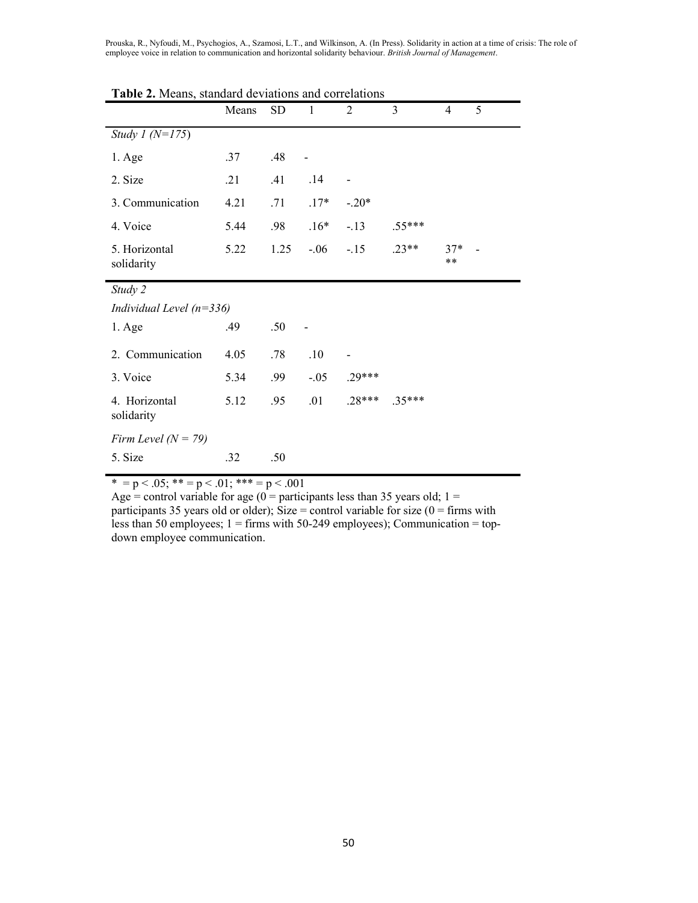|                             | Means | SD   | $\mathbf{1}$ | $\overline{2}$ | 3        | $\overline{4}$ | 5 |
|-----------------------------|-------|------|--------------|----------------|----------|----------------|---|
| Study 1 ( $N=175$ )         |       |      |              |                |          |                |   |
| $1. \text{Age}$             | .37   | .48  |              |                |          |                |   |
| 2. Size                     | .21   | .41  | .14          |                |          |                |   |
| 3. Communication            | 4.21  | .71  | $.17*$       | $-.20*$        |          |                |   |
| 4. Voice                    | 5.44  | .98  | $.16*$       | $-.13$         | $.55***$ |                |   |
| 5. Horizontal<br>solidarity | 5.22  | 1.25 | $-.06$       | $-.15$         | $.23**$  | $37*$<br>$***$ |   |
| Study 2                     |       |      |              |                |          |                |   |
| Individual Level $(n=336)$  |       |      |              |                |          |                |   |
| $1. \text{Age}$             | .49   | .50  |              |                |          |                |   |
| 2. Communication            | 4.05  | .78  | .10          |                |          |                |   |
| 3. Voice                    | 5.34  | .99  | $-.05$       | $.29***$       |          |                |   |
| 4. Horizontal<br>solidarity | 5.12  | .95  | .01          | $.28***$       | $.35***$ |                |   |
| Firm Level ( $N = 79$ )     |       |      |              |                |          |                |   |
| 5. Size                     | .32   | .50  |              |                |          |                |   |

Table 2. Means, standard deviations and correlations

 $* = p < .05; ** = p < .01; *** = p < .001$ 

Age = control variable for age  $(0 =$  participants less than 35 years old; 1 = participants 35 years old or older); Size = control variable for size  $(0 = \text{ firms with})$ less than 50 employees; 1 = firms with 50-249 employees); Communication = topdown employee communication.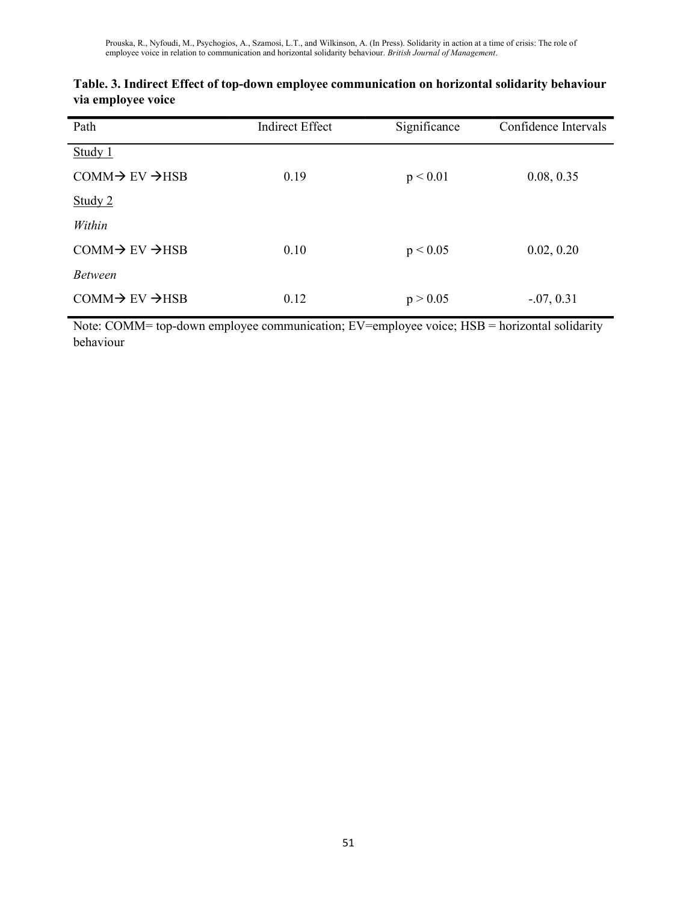| Path                                  | <b>Indirect Effect</b> | Significance | Confidence Intervals |
|---------------------------------------|------------------------|--------------|----------------------|
| Study 1                               |                        |              |                      |
| $COMM \rightarrow EV \rightarrow HSB$ | 0.19                   | p < 0.01     | 0.08, 0.35           |
| Study $2$                             |                        |              |                      |
| Within                                |                        |              |                      |
| $COMM \rightarrow EV \rightarrow HSB$ | 0.10                   | p < 0.05     | 0.02, 0.20           |
| <b>Between</b>                        |                        |              |                      |
| $COMM \rightarrow EV \rightarrow HSB$ | 0.12                   | p > 0.05     | $-0.07, 0.31$        |

| Table. 3. Indirect Effect of top-down employee communication on horizontal solidarity behaviour |
|-------------------------------------------------------------------------------------------------|
| via employee voice                                                                              |

Note: COMM= top-down employee communication; EV=employee voice; HSB = horizontal solidarity behaviour